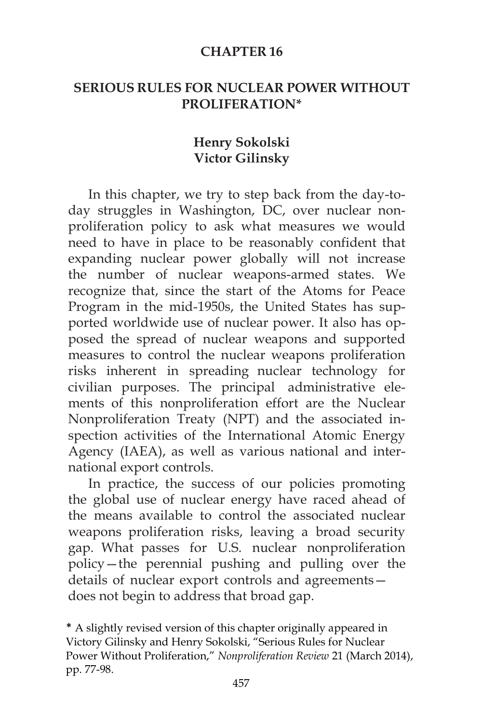#### **CHAPTER 16**

### **SERIOUS RULES FOR NUCLEAR POWER WITHOUT PROLIFERATION\***

### **Henry Sokolski Victor Gilinsky**

In this chapter, we try to step back from the day-today struggles in Washington, DC, over nuclear nonproliferation policy to ask what measures we would need to have in place to be reasonably confident that expanding nuclear power globally will not increase the number of nuclear weapons-armed states. We recognize that, since the start of the Atoms for Peace Program in the mid-1950s, the United States has supported worldwide use of nuclear power. It also has opposed the spread of nuclear weapons and supported measures to control the nuclear weapons proliferation risks inherent in spreading nuclear technology for civilian purposes. The principal administrative elements of this nonproliferation effort are the Nuclear Nonproliferation Treaty (NPT) and the associated inspection activities of the International Atomic Energy Agency (IAEA), as well as various national and international export controls.

In practice, the success of our policies promoting the global use of nuclear energy have raced ahead of the means available to control the associated nuclear weapons proliferation risks, leaving a broad security gap. What passes for U.S. nuclear nonproliferation policy—the perennial pushing and pulling over the details of nuclear export controls and agreements does not begin to address that broad gap.

\* A slightly revised version of this chapter originally appeared in Victory Gilinsky and Henry Sokolski, "Serious Rules for Nuclear Power Without Proliferation," *Nonproliferation Review* 21 (March 2014), pp. 77-98.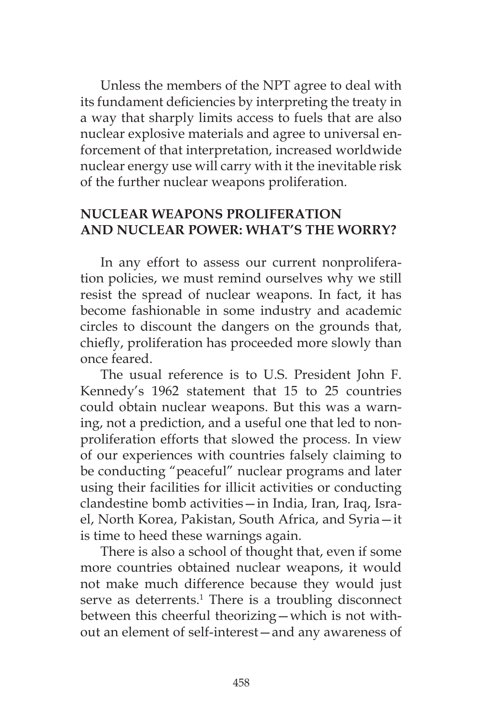Unless the members of the NPT agree to deal with its fundament deficiencies by interpreting the treaty in a way that sharply limits access to fuels that are also nuclear explosive materials and agree to universal enforcement of that interpretation, increased worldwide nuclear energy use will carry with it the inevitable risk of the further nuclear weapons proliferation.

### **NUCLEAR WEAPONS PROLIFERATION AND NUCLEAR POWER: WHAT'S THE WORRY?**

In any effort to assess our current nonproliferation policies, we must remind ourselves why we still resist the spread of nuclear weapons. In fact, it has become fashionable in some industry and academic circles to discount the dangers on the grounds that, chiefly, proliferation has proceeded more slowly than once feared.

The usual reference is to U.S. President John F. Kennedy's 1962 statement that 15 to 25 countries could obtain nuclear weapons. But this was a warning, not a prediction, and a useful one that led to nonproliferation efforts that slowed the process. In view of our experiences with countries falsely claiming to be conducting "peaceful" nuclear programs and later using their facilities for illicit activities or conducting clandestine bomb activities—in India, Iran, Iraq, Israel, North Korea, Pakistan, South Africa, and Syria—it is time to heed these warnings again.

There is also a school of thought that, even if some more countries obtained nuclear weapons, it would not make much difference because they would just serve as deterrents.<sup>1</sup> There is a troubling disconnect between this cheerful theorizing—which is not without an element of self-interest—and any awareness of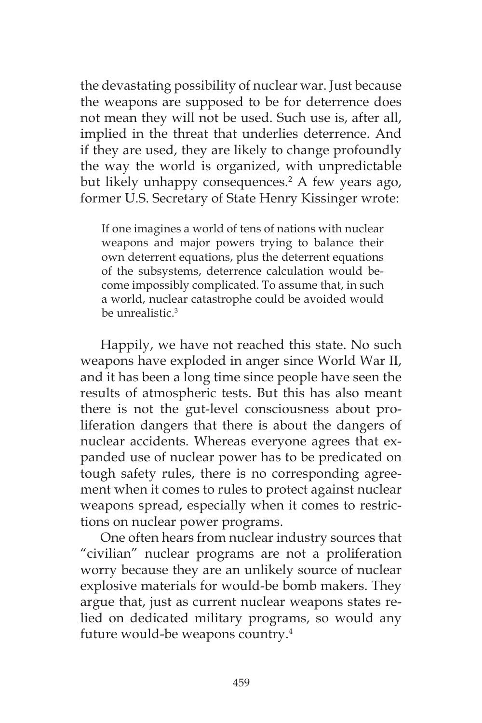the devastating possibility of nuclear war. Just because the weapons are supposed to be for deterrence does not mean they will not be used. Such use is, after all, implied in the threat that underlies deterrence. And if they are used, they are likely to change profoundly the way the world is organized, with unpredictable but likely unhappy consequences.<sup>2</sup> A few years ago, former U.S. Secretary of State Henry Kissinger wrote:

If one imagines a world of tens of nations with nuclear weapons and major powers trying to balance their own deterrent equations, plus the deterrent equations of the subsystems, deterrence calculation would become impossibly complicated. To assume that, in such a world, nuclear catastrophe could be avoided would be unrealistic.<sup>3</sup>

Happily, we have not reached this state. No such weapons have exploded in anger since World War II, and it has been a long time since people have seen the results of atmospheric tests. But this has also meant there is not the gut-level consciousness about proliferation dangers that there is about the dangers of nuclear accidents. Whereas everyone agrees that expanded use of nuclear power has to be predicated on tough safety rules, there is no corresponding agreement when it comes to rules to protect against nuclear weapons spread, especially when it comes to restrictions on nuclear power programs.

One often hears from nuclear industry sources that "civilian" nuclear programs are not a proliferation worry because they are an unlikely source of nuclear explosive materials for would-be bomb makers. They argue that, just as current nuclear weapons states relied on dedicated military programs, so would any future would-be weapons country.<sup>4</sup>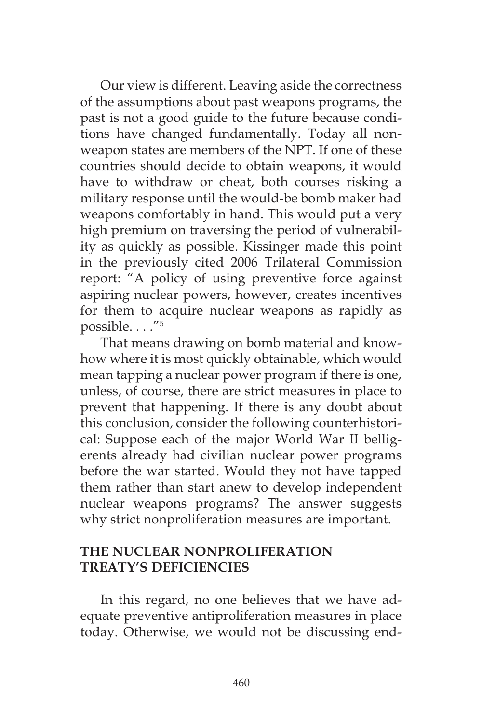Our view is different. Leaving aside the correctness of the assumptions about past weapons programs, the past is not a good guide to the future because conditions have changed fundamentally. Today all nonweapon states are members of the NPT. If one of these countries should decide to obtain weapons, it would have to withdraw or cheat, both courses risking a military response until the would-be bomb maker had weapons comfortably in hand. This would put a very high premium on traversing the period of vulnerability as quickly as possible. Kissinger made this point in the previously cited 2006 Trilateral Commission report: "A policy of using preventive force against aspiring nuclear powers, however, creates incentives for them to acquire nuclear weapons as rapidly as possible. . . ."5

That means drawing on bomb material and knowhow where it is most quickly obtainable, which would mean tapping a nuclear power program if there is one, unless, of course, there are strict measures in place to prevent that happening. If there is any doubt about this conclusion, consider the following counterhistorical: Suppose each of the major World War II belligerents already had civilian nuclear power programs before the war started. Would they not have tapped them rather than start anew to develop independent nuclear weapons programs? The answer suggests why strict nonproliferation measures are important.

# **THE NUCLEAR NONPROLIFERATION TREATY'S DEFICIENCIES**

In this regard, no one believes that we have adequate preventive antiproliferation measures in place today. Otherwise, we would not be discussing end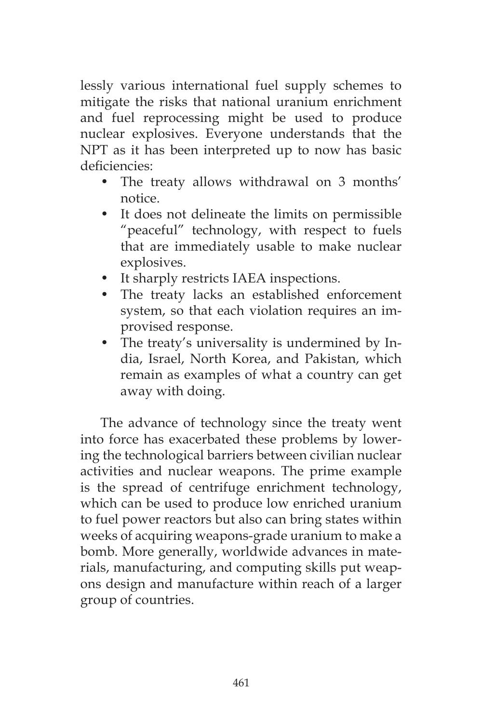lessly various international fuel supply schemes to mitigate the risks that national uranium enrichment and fuel reprocessing might be used to produce nuclear explosives. Everyone understands that the NPT as it has been interpreted up to now has basic deficiencies:

- The treaty allows withdrawal on 3 months' notice.
- It does not delineate the limits on permissible "peaceful" technology, with respect to fuels that are immediately usable to make nuclear explosives.
- It sharply restricts IAEA inspections.
- The treaty lacks an established enforcement system, so that each violation requires an improvised response.
- The treaty's universality is undermined by India, Israel, North Korea, and Pakistan, which remain as examples of what a country can get away with doing.

The advance of technology since the treaty went into force has exacerbated these problems by lowering the technological barriers between civilian nuclear activities and nuclear weapons. The prime example is the spread of centrifuge enrichment technology, which can be used to produce low enriched uranium to fuel power reactors but also can bring states within weeks of acquiring weapons-grade uranium to make a bomb. More generally, worldwide advances in materials, manufacturing, and computing skills put weapons design and manufacture within reach of a larger group of countries.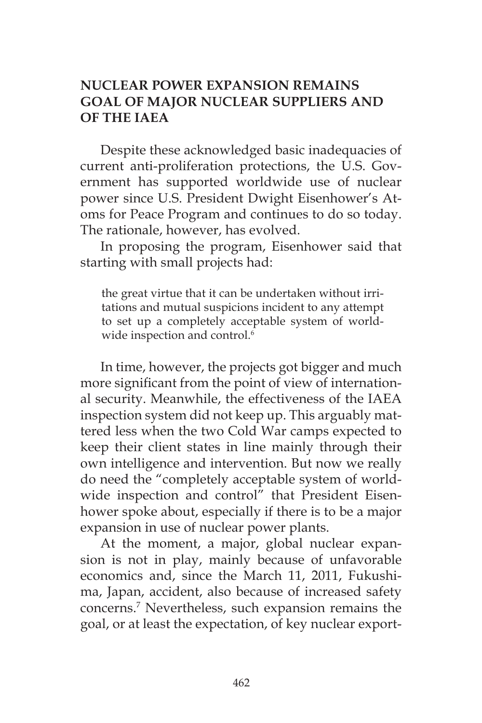# **NUCLEAR POWER EXPANSION REMAINS GOAL OF MAJOR NUCLEAR SUPPLIERS AND OF THE IAEA**

Despite these acknowledged basic inadequacies of current anti-proliferation protections, the U.S. Government has supported worldwide use of nuclear power since U.S. President Dwight Eisenhower's Atoms for Peace Program and continues to do so today. The rationale, however, has evolved.

In proposing the program, Eisenhower said that starting with small projects had:

the great virtue that it can be undertaken without irritations and mutual suspicions incident to any attempt to set up a completely acceptable system of worldwide inspection and control.<sup>6</sup>

In time, however, the projects got bigger and much more significant from the point of view of international security. Meanwhile, the effectiveness of the IAEA inspection system did not keep up. This arguably mattered less when the two Cold War camps expected to keep their client states in line mainly through their own intelligence and intervention. But now we really do need the "completely acceptable system of worldwide inspection and control" that President Eisenhower spoke about, especially if there is to be a major expansion in use of nuclear power plants.

At the moment, a major, global nuclear expansion is not in play, mainly because of unfavorable economics and, since the March 11, 2011, Fukushima, Japan, accident, also because of increased safety concerns.7 Nevertheless, such expansion remains the goal, or at least the expectation, of key nuclear export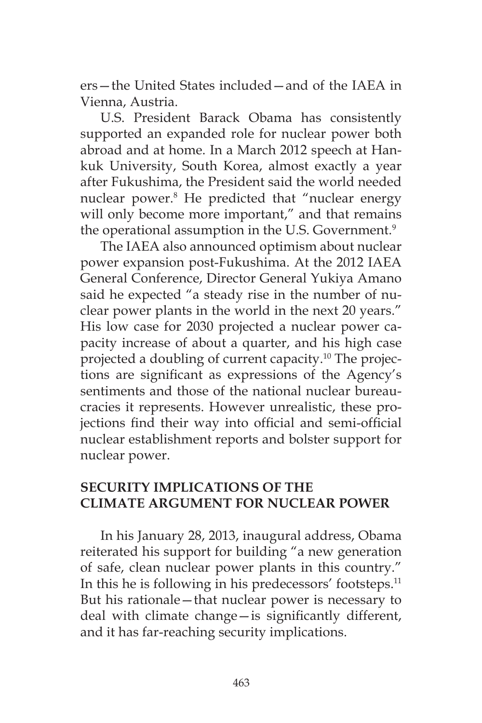ers—the United States included—and of the IAEA in Vienna, Austria.

U.S. President Barack Obama has consistently supported an expanded role for nuclear power both abroad and at home. In a March 2012 speech at Hankuk University, South Korea, almost exactly a year after Fukushima, the President said the world needed nuclear power.8 He predicted that "nuclear energy will only become more important," and that remains the operational assumption in the U.S. Government.<sup>9</sup>

The IAEA also announced optimism about nuclear power expansion post-Fukushima. At the 2012 IAEA General Conference, Director General Yukiya Amano said he expected "a steady rise in the number of nuclear power plants in the world in the next 20 years." His low case for 2030 projected a nuclear power capacity increase of about a quarter, and his high case projected a doubling of current capacity.<sup>10</sup> The projections are significant as expressions of the Agency's sentiments and those of the national nuclear bureaucracies it represents. However unrealistic, these projections find their way into official and semi-official nuclear establishment reports and bolster support for nuclear power.

### **SECURITY IMPLICATIONS OF THE CLIMATE ARGUMENT FOR NUCLEAR POWER**

In his January 28, 2013, inaugural address, Obama reiterated his support for building "a new generation of safe, clean nuclear power plants in this country." In this he is following in his predecessors' footsteps.<sup>11</sup> But his rationale—that nuclear power is necessary to deal with climate change—is significantly different, and it has far-reaching security implications.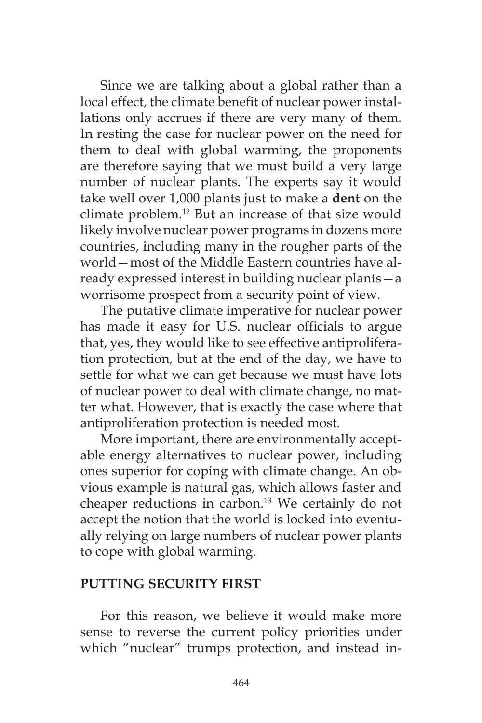Since we are talking about a global rather than a local effect, the climate benefit of nuclear power installations only accrues if there are very many of them. In resting the case for nuclear power on the need for them to deal with global warming, the proponents are therefore saying that we must build a very large number of nuclear plants. The experts say it would take well over 1,000 plants just to make a **dent** on the climate problem.12 But an increase of that size would likely involve nuclear power programs in dozens more countries, including many in the rougher parts of the world—most of the Middle Eastern countries have already expressed interest in building nuclear plants—a worrisome prospect from a security point of view.

The putative climate imperative for nuclear power has made it easy for U.S. nuclear officials to argue that, yes, they would like to see effective antiproliferation protection, but at the end of the day, we have to settle for what we can get because we must have lots of nuclear power to deal with climate change, no matter what. However, that is exactly the case where that antiproliferation protection is needed most.

More important, there are environmentally acceptable energy alternatives to nuclear power, including ones superior for coping with climate change. An obvious example is natural gas, which allows faster and cheaper reductions in carbon.<sup>13</sup> We certainly do not accept the notion that the world is locked into eventually relying on large numbers of nuclear power plants to cope with global warming.

#### **PUTTING SECURITY FIRST**

For this reason, we believe it would make more sense to reverse the current policy priorities under which "nuclear" trumps protection, and instead in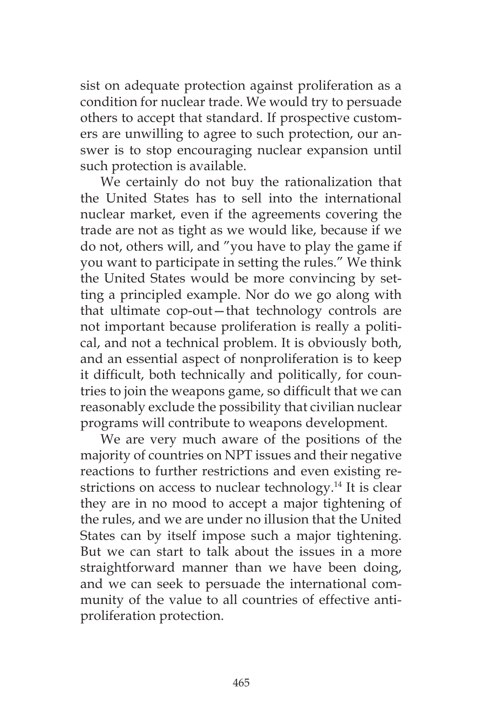sist on adequate protection against proliferation as a condition for nuclear trade. We would try to persuade others to accept that standard. If prospective customers are unwilling to agree to such protection, our answer is to stop encouraging nuclear expansion until such protection is available.

We certainly do not buy the rationalization that the United States has to sell into the international nuclear market, even if the agreements covering the trade are not as tight as we would like, because if we do not, others will, and "you have to play the game if you want to participate in setting the rules." We think the United States would be more convincing by setting a principled example. Nor do we go along with that ultimate cop-out—that technology controls are not important because proliferation is really a political, and not a technical problem. It is obviously both, and an essential aspect of nonproliferation is to keep it difficult, both technically and politically, for countries to join the weapons game, so difficult that we can reasonably exclude the possibility that civilian nuclear programs will contribute to weapons development.

We are very much aware of the positions of the majority of countries on NPT issues and their negative reactions to further restrictions and even existing restrictions on access to nuclear technology.<sup>14</sup> It is clear they are in no mood to accept a major tightening of the rules, and we are under no illusion that the United States can by itself impose such a major tightening. But we can start to talk about the issues in a more straightforward manner than we have been doing, and we can seek to persuade the international community of the value to all countries of effective antiproliferation protection.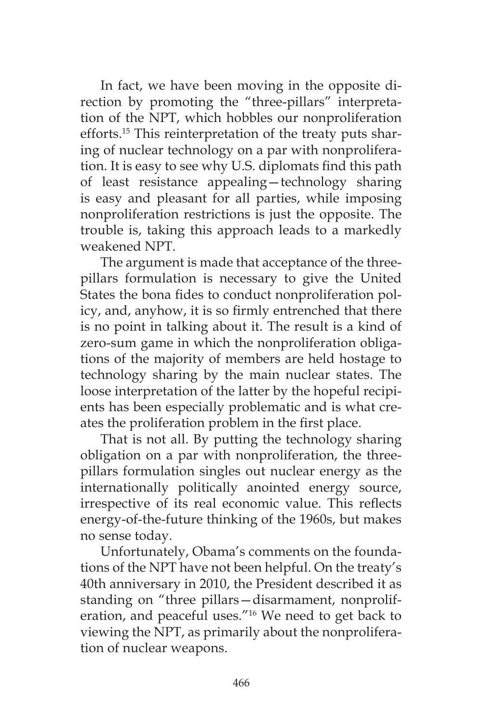In fact, we have been moving in the opposite direction by promoting the "three-pillars" interpretation of the NPT, which hobbles our nonproliferation efforts.15 This reinterpretation of the treaty puts sharing of nuclear technology on a par with nonproliferation. It is easy to see why U.S. diplomats find this path of least resistance appealing—technology sharing is easy and pleasant for all parties, while imposing nonproliferation restrictions is just the opposite. The trouble is, taking this approach leads to a markedly weakened NPT.

The argument is made that acceptance of the threepillars formulation is necessary to give the United States the bona fides to conduct nonproliferation policy, and, anyhow, it is so firmly entrenched that there is no point in talking about it. The result is a kind of zero-sum game in which the nonproliferation obligations of the majority of members are held hostage to technology sharing by the main nuclear states. The loose interpretation of the latter by the hopeful recipients has been especially problematic and is what creates the proliferation problem in the first place.

That is not all. By putting the technology sharing obligation on a par with nonproliferation, the threepillars formulation singles out nuclear energy as the internationally politically anointed energy source, irrespective of its real economic value. This reflects energy-of-the-future thinking of the 1960s, but makes no sense today.

Unfortunately, Obama's comments on the foundations of the NPT have not been helpful. On the treaty's 40th anniversary in 2010, the President described it as standing on "three pillars—disarmament, nonproliferation, and peaceful uses."16 We need to get back to viewing the NPT, as primarily about the nonproliferation of nuclear weapons.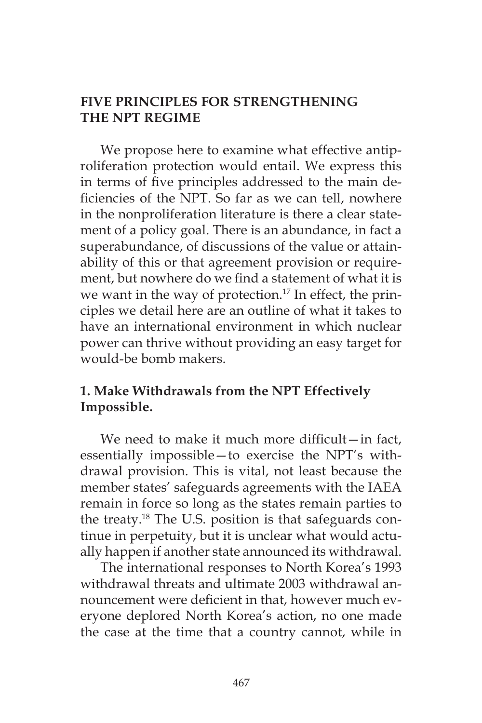### **FIVE PRINCIPLES FOR STRENGTHENING THE NPT REGIME**

We propose here to examine what effective antiproliferation protection would entail. We express this in terms of five principles addressed to the main deficiencies of the NPT. So far as we can tell, nowhere in the nonproliferation literature is there a clear statement of a policy goal. There is an abundance, in fact a superabundance, of discussions of the value or attainability of this or that agreement provision or requirement, but nowhere do we find a statement of what it is we want in the way of protection.<sup>17</sup> In effect, the principles we detail here are an outline of what it takes to have an international environment in which nuclear power can thrive without providing an easy target for would-be bomb makers.

# **1. Make Withdrawals from the NPT Effectively Impossible.**

We need to make it much more difficult-in fact, essentially impossible—to exercise the NPT's withdrawal provision. This is vital, not least because the member states' safeguards agreements with the IAEA remain in force so long as the states remain parties to the treaty.18 The U.S. position is that safeguards continue in perpetuity, but it is unclear what would actually happen if another state announced its withdrawal.

The international responses to North Korea's 1993 withdrawal threats and ultimate 2003 withdrawal announcement were deficient in that, however much everyone deplored North Korea's action, no one made the case at the time that a country cannot, while in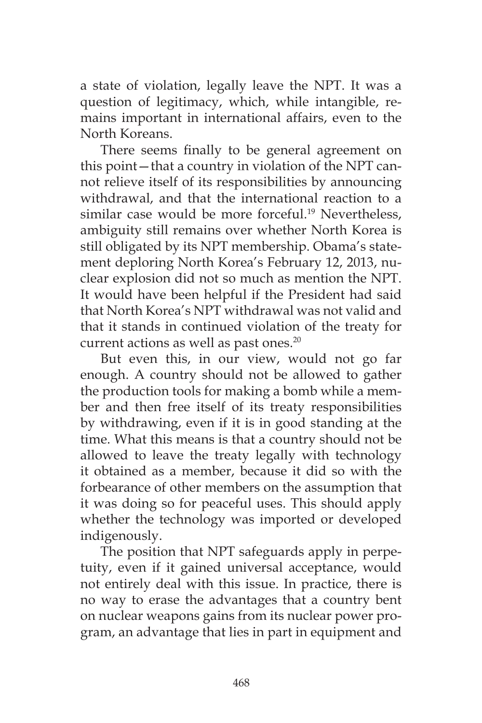a state of violation, legally leave the NPT. It was a question of legitimacy, which, while intangible, remains important in international affairs, even to the North Koreans.

There seems finally to be general agreement on this point—that a country in violation of the NPT cannot relieve itself of its responsibilities by announcing withdrawal, and that the international reaction to a similar case would be more forceful.<sup>19</sup> Nevertheless, ambiguity still remains over whether North Korea is still obligated by its NPT membership. Obama's statement deploring North Korea's February 12, 2013, nuclear explosion did not so much as mention the NPT. It would have been helpful if the President had said that North Korea's NPT withdrawal was not valid and that it stands in continued violation of the treaty for current actions as well as past ones.<sup>20</sup>

But even this, in our view, would not go far enough. A country should not be allowed to gather the production tools for making a bomb while a member and then free itself of its treaty responsibilities by withdrawing, even if it is in good standing at the time. What this means is that a country should not be allowed to leave the treaty legally with technology it obtained as a member, because it did so with the forbearance of other members on the assumption that it was doing so for peaceful uses. This should apply whether the technology was imported or developed indigenously.

The position that NPT safeguards apply in perpetuity, even if it gained universal acceptance, would not entirely deal with this issue. In practice, there is no way to erase the advantages that a country bent on nuclear weapons gains from its nuclear power program, an advantage that lies in part in equipment and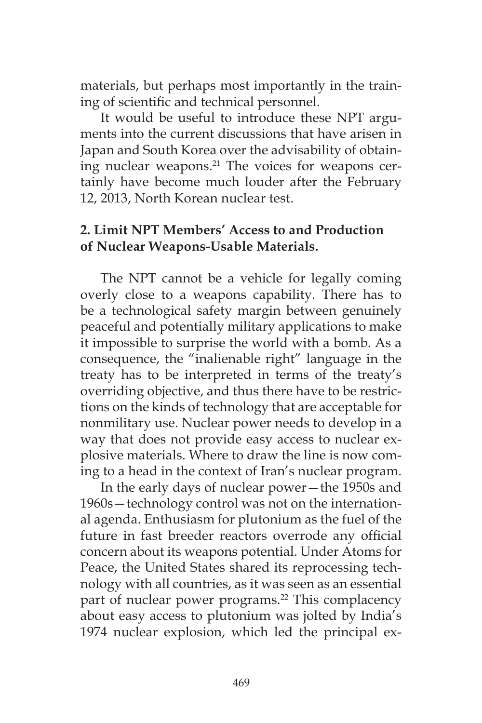materials, but perhaps most importantly in the training of scientific and technical personnel.

It would be useful to introduce these NPT arguments into the current discussions that have arisen in Japan and South Korea over the advisability of obtaining nuclear weapons.<sup>21</sup> The voices for weapons certainly have become much louder after the February 12, 2013, North Korean nuclear test.

### **2. Limit NPT Members' Access to and Production of Nuclear Weapons-Usable Materials.**

The NPT cannot be a vehicle for legally coming overly close to a weapons capability. There has to be a technological safety margin between genuinely peaceful and potentially military applications to make it impossible to surprise the world with a bomb. As a consequence, the "inalienable right" language in the treaty has to be interpreted in terms of the treaty's overriding objective, and thus there have to be restrictions on the kinds of technology that are acceptable for nonmilitary use. Nuclear power needs to develop in a way that does not provide easy access to nuclear explosive materials. Where to draw the line is now coming to a head in the context of Iran's nuclear program.

In the early days of nuclear power—the 1950s and 1960s—technology control was not on the international agenda. Enthusiasm for plutonium as the fuel of the future in fast breeder reactors overrode any official concern about its weapons potential. Under Atoms for Peace, the United States shared its reprocessing technology with all countries, as it was seen as an essential part of nuclear power programs.<sup>22</sup> This complacency about easy access to plutonium was jolted by India's 1974 nuclear explosion, which led the principal ex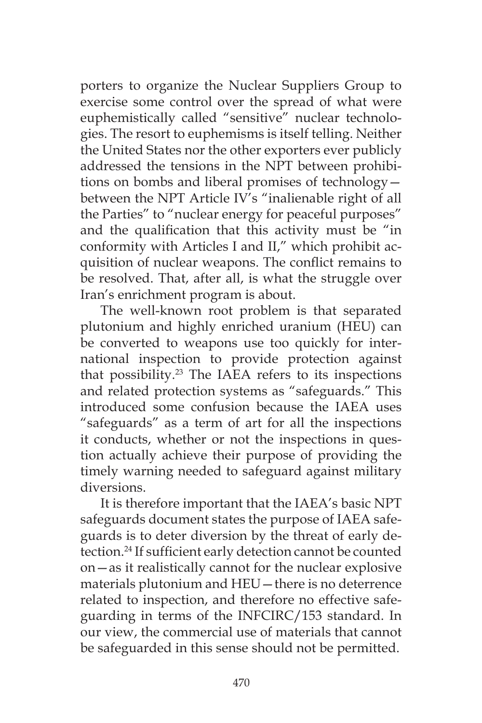porters to organize the Nuclear Suppliers Group to exercise some control over the spread of what were euphemistically called "sensitive" nuclear technologies. The resort to euphemisms is itself telling. Neither the United States nor the other exporters ever publicly addressed the tensions in the NPT between prohibitions on bombs and liberal promises of technology between the NPT Article IV's "inalienable right of all the Parties" to "nuclear energy for peaceful purposes" and the qualification that this activity must be "in conformity with Articles I and II," which prohibit acquisition of nuclear weapons. The conflict remains to be resolved. That, after all, is what the struggle over Iran's enrichment program is about.

The well-known root problem is that separated plutonium and highly enriched uranium (HEU) can be converted to weapons use too quickly for international inspection to provide protection against that possibility.23 The IAEA refers to its inspections and related protection systems as "safeguards." This introduced some confusion because the IAEA uses "safeguards" as a term of art for all the inspections it conducts, whether or not the inspections in question actually achieve their purpose of providing the timely warning needed to safeguard against military diversions.

It is therefore important that the IAEA's basic NPT safeguards document states the purpose of IAEA safeguards is to deter diversion by the threat of early detection.24 If sufficient early detection cannot be counted on—as it realistically cannot for the nuclear explosive materials plutonium and HEU—there is no deterrence related to inspection, and therefore no effective safeguarding in terms of the INFCIRC/153 standard. In our view, the commercial use of materials that cannot be safeguarded in this sense should not be permitted.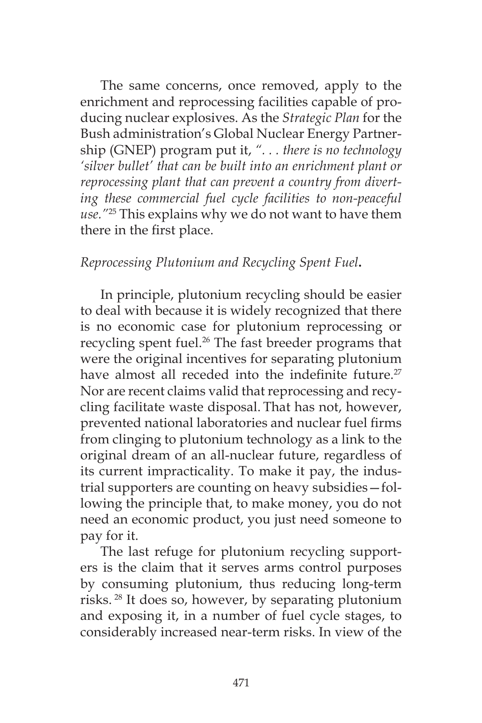The same concerns, once removed, apply to the enrichment and reprocessing facilities capable of producing nuclear explosives. As the *Strategic Plan* for the Bush administration's Global Nuclear Energy Partnership (GNEP) program put it, *". . . there is no technology 'silver bullet' that can be built into an enrichment plant or reprocessing plant that can prevent a country from diverting these commercial fuel cycle facilities to non-peaceful use."*25 This explains why we do not want to have them there in the first place.

#### *Reprocessing Plutonium and Recycling Spent Fuel***.**

In principle, plutonium recycling should be easier to deal with because it is widely recognized that there is no economic case for plutonium reprocessing or recycling spent fuel.<sup>26</sup> The fast breeder programs that were the original incentives for separating plutonium have almost all receded into the indefinite future.<sup>27</sup> Nor are recent claims valid that reprocessing and recycling facilitate waste disposal. That has not, however, prevented national laboratories and nuclear fuel firms from clinging to plutonium technology as a link to the original dream of an all-nuclear future, regardless of its current impracticality. To make it pay, the industrial supporters are counting on heavy subsidies—following the principle that, to make money, you do not need an economic product, you just need someone to pay for it.

The last refuge for plutonium recycling supporters is the claim that it serves arms control purposes by consuming plutonium, thus reducing long-term risks. 28 It does so, however, by separating plutonium and exposing it, in a number of fuel cycle stages, to considerably increased near-term risks. In view of the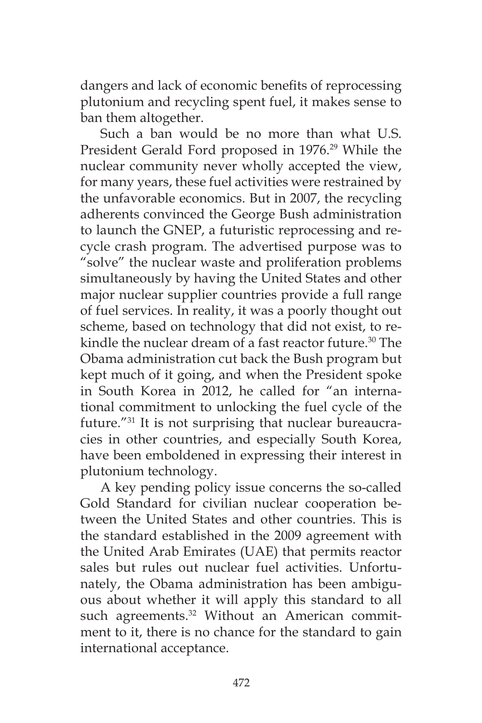dangers and lack of economic benefits of reprocessing plutonium and recycling spent fuel, it makes sense to ban them altogether.

Such a ban would be no more than what U.S. President Gerald Ford proposed in 1976.<sup>29</sup> While the nuclear community never wholly accepted the view, for many years, these fuel activities were restrained by the unfavorable economics. But in 2007, the recycling adherents convinced the George Bush administration to launch the GNEP, a futuristic reprocessing and recycle crash program. The advertised purpose was to "solve" the nuclear waste and proliferation problems simultaneously by having the United States and other major nuclear supplier countries provide a full range of fuel services. In reality, it was a poorly thought out scheme, based on technology that did not exist, to rekindle the nuclear dream of a fast reactor future.<sup>30</sup> The Obama administration cut back the Bush program but kept much of it going, and when the President spoke in South Korea in 2012, he called for "an international commitment to unlocking the fuel cycle of the future."<sup>31</sup> It is not surprising that nuclear bureaucracies in other countries, and especially South Korea, have been emboldened in expressing their interest in plutonium technology.

A key pending policy issue concerns the so-called Gold Standard for civilian nuclear cooperation between the United States and other countries. This is the standard established in the 2009 agreement with the United Arab Emirates (UAE) that permits reactor sales but rules out nuclear fuel activities. Unfortunately, the Obama administration has been ambiguous about whether it will apply this standard to all such agreements.<sup>32</sup> Without an American commitment to it, there is no chance for the standard to gain international acceptance.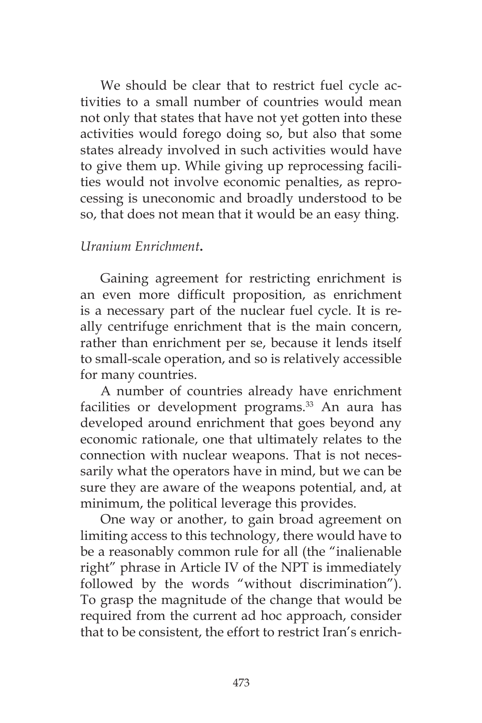We should be clear that to restrict fuel cycle activities to a small number of countries would mean not only that states that have not yet gotten into these activities would forego doing so, but also that some states already involved in such activities would have to give them up. While giving up reprocessing facilities would not involve economic penalties, as reprocessing is uneconomic and broadly understood to be so, that does not mean that it would be an easy thing.

#### *Uranium Enrichment***.**

Gaining agreement for restricting enrichment is an even more difficult proposition, as enrichment is a necessary part of the nuclear fuel cycle. It is really centrifuge enrichment that is the main concern, rather than enrichment per se, because it lends itself to small-scale operation, and so is relatively accessible for many countries.

A number of countries already have enrichment facilities or development programs.<sup>33</sup> An aura has developed around enrichment that goes beyond any economic rationale, one that ultimately relates to the connection with nuclear weapons. That is not necessarily what the operators have in mind, but we can be sure they are aware of the weapons potential, and, at minimum, the political leverage this provides.

One way or another, to gain broad agreement on limiting access to this technology, there would have to be a reasonably common rule for all (the "inalienable right" phrase in Article IV of the NPT is immediately followed by the words "without discrimination"). To grasp the magnitude of the change that would be required from the current ad hoc approach, consider that to be consistent, the effort to restrict Iran's enrich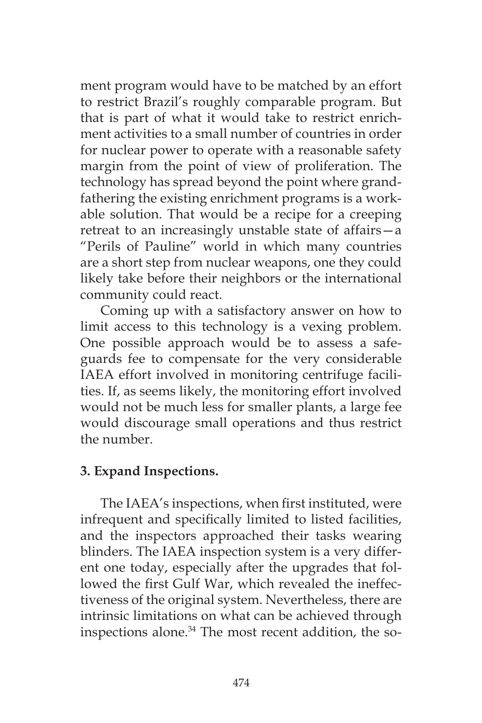ment program would have to be matched by an effort to restrict Brazil's roughly comparable program. But that is part of what it would take to restrict enrichment activities to a small number of countries in order for nuclear power to operate with a reasonable safety margin from the point of view of proliferation. The technology has spread beyond the point where grandfathering the existing enrichment programs is a workable solution. That would be a recipe for a creeping retreat to an increasingly unstable state of affairs—a "Perils of Pauline" world in which many countries are a short step from nuclear weapons, one they could likely take before their neighbors or the international community could react.

Coming up with a satisfactory answer on how to limit access to this technology is a vexing problem. One possible approach would be to assess a safeguards fee to compensate for the very considerable IAEA effort involved in monitoring centrifuge facilities. If, as seems likely, the monitoring effort involved would not be much less for smaller plants, a large fee would discourage small operations and thus restrict the number.

# **3. Expand Inspections.**

The IAEA's inspections, when first instituted, were infrequent and specifically limited to listed facilities, and the inspectors approached their tasks wearing blinders. The IAEA inspection system is a very different one today, especially after the upgrades that followed the first Gulf War, which revealed the ineffectiveness of the original system. Nevertheless, there are intrinsic limitations on what can be achieved through inspections alone.34 The most recent addition, the so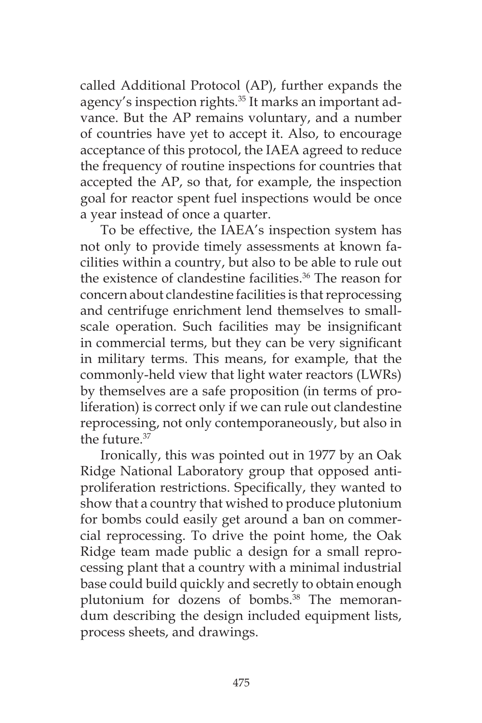called Additional Protocol (AP), further expands the agency's inspection rights.<sup>35</sup> It marks an important advance. But the AP remains voluntary, and a number of countries have yet to accept it. Also, to encourage acceptance of this protocol, the IAEA agreed to reduce the frequency of routine inspections for countries that accepted the AP, so that, for example, the inspection goal for reactor spent fuel inspections would be once a year instead of once a quarter.

To be effective, the IAEA's inspection system has not only to provide timely assessments at known facilities within a country, but also to be able to rule out the existence of clandestine facilities.<sup>36</sup> The reason for concern about clandestine facilities is that reprocessing and centrifuge enrichment lend themselves to smallscale operation. Such facilities may be insignificant in commercial terms, but they can be very significant in military terms. This means, for example, that the commonly-held view that light water reactors (LWRs) by themselves are a safe proposition (in terms of proliferation) is correct only if we can rule out clandestine reprocessing, not only contemporaneously, but also in the future.37

Ironically, this was pointed out in 1977 by an Oak Ridge National Laboratory group that opposed antiproliferation restrictions. Specifically, they wanted to show that a country that wished to produce plutonium for bombs could easily get around a ban on commercial reprocessing. To drive the point home, the Oak Ridge team made public a design for a small reprocessing plant that a country with a minimal industrial base could build quickly and secretly to obtain enough plutonium for dozens of bombs.<sup>38</sup> The memorandum describing the design included equipment lists, process sheets, and drawings.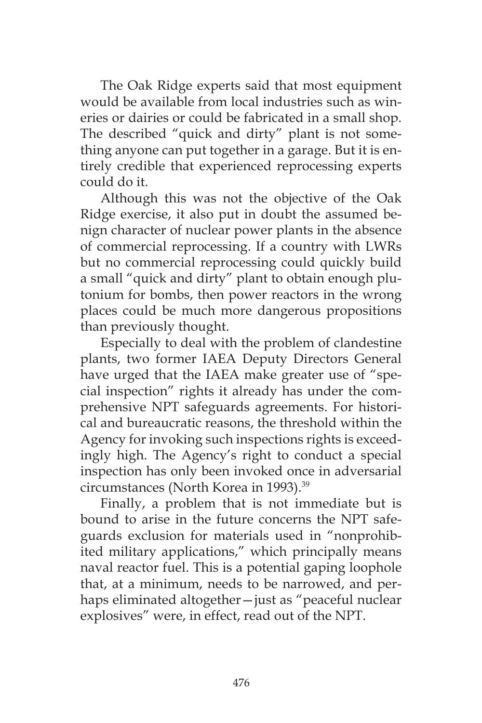The Oak Ridge experts said that most equipment would be available from local industries such as wineries or dairies or could be fabricated in a small shop. The described "quick and dirty" plant is not something anyone can put together in a garage. But it is entirely credible that experienced reprocessing experts could do it.

Although this was not the objective of the Oak Ridge exercise, it also put in doubt the assumed benign character of nuclear power plants in the absence of commercial reprocessing. If a country with LWRs but no commercial reprocessing could quickly build a small "quick and dirty" plant to obtain enough plutonium for bombs, then power reactors in the wrong places could be much more dangerous propositions than previously thought.

Especially to deal with the problem of clandestine plants, two former IAEA Deputy Directors General have urged that the IAEA make greater use of "special inspection" rights it already has under the comprehensive NPT safeguards agreements. For historical and bureaucratic reasons, the threshold within the Agency for invoking such inspections rights is exceedingly high. The Agency's right to conduct a special inspection has only been invoked once in adversarial circumstances (North Korea in 1993).<sup>39</sup>

Finally, a problem that is not immediate but is bound to arise in the future concerns the NPT safeguards exclusion for materials used in "nonprohibited military applications," which principally means naval reactor fuel. This is a potential gaping loophole that, at a minimum, needs to be narrowed, and perhaps eliminated altogether—just as "peaceful nuclear explosives" were, in effect, read out of the NPT.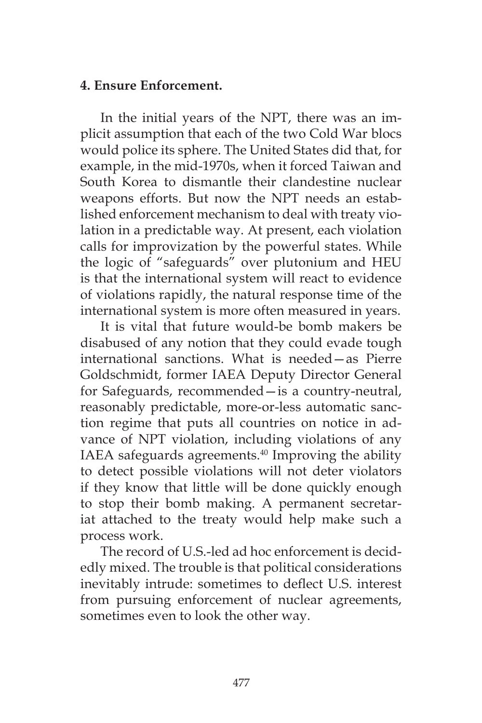#### **4. Ensure Enforcement.**

In the initial years of the NPT, there was an implicit assumption that each of the two Cold War blocs would police its sphere. The United States did that, for example, in the mid-1970s, when it forced Taiwan and South Korea to dismantle their clandestine nuclear weapons efforts. But now the NPT needs an established enforcement mechanism to deal with treaty violation in a predictable way. At present, each violation calls for improvization by the powerful states. While the logic of "safeguards" over plutonium and HEU is that the international system will react to evidence of violations rapidly, the natural response time of the international system is more often measured in years.

It is vital that future would-be bomb makers be disabused of any notion that they could evade tough international sanctions. What is needed—as Pierre Goldschmidt, former IAEA Deputy Director General for Safeguards, recommended—is a country-neutral, reasonably predictable, more-or-less automatic sanction regime that puts all countries on notice in advance of NPT violation, including violations of any IAEA safeguards agreements.<sup>40</sup> Improving the ability to detect possible violations will not deter violators if they know that little will be done quickly enough to stop their bomb making. A permanent secretariat attached to the treaty would help make such a process work.

The record of U.S.-led ad hoc enforcement is decidedly mixed. The trouble is that political considerations inevitably intrude: sometimes to deflect U.S. interest from pursuing enforcement of nuclear agreements, sometimes even to look the other way.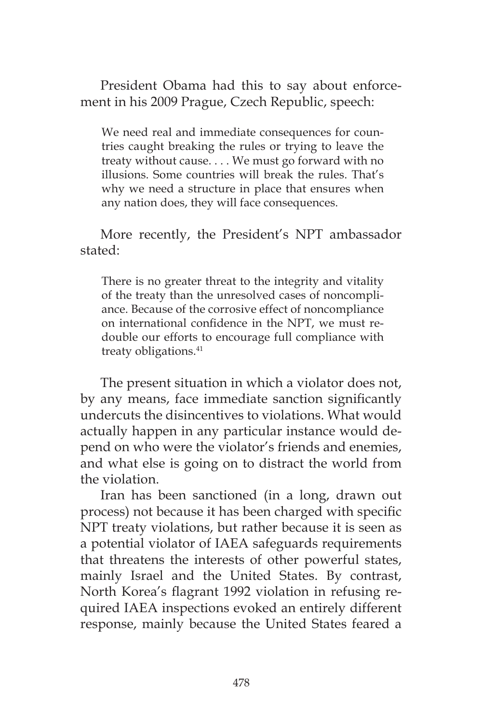President Obama had this to say about enforcement in his 2009 Prague, Czech Republic, speech:

We need real and immediate consequences for countries caught breaking the rules or trying to leave the treaty without cause. . . . We must go forward with no illusions. Some countries will break the rules. That's why we need a structure in place that ensures when any nation does, they will face consequences.

More recently, the President's NPT ambassador stated:

There is no greater threat to the integrity and vitality of the treaty than the unresolved cases of noncompliance. Because of the corrosive effect of noncompliance on international confidence in the NPT, we must redouble our efforts to encourage full compliance with treaty obligations.<sup>41</sup>

The present situation in which a violator does not, by any means, face immediate sanction significantly undercuts the disincentives to violations. What would actually happen in any particular instance would depend on who were the violator's friends and enemies, and what else is going on to distract the world from the violation.

Iran has been sanctioned (in a long, drawn out process) not because it has been charged with specific NPT treaty violations, but rather because it is seen as a potential violator of IAEA safeguards requirements that threatens the interests of other powerful states, mainly Israel and the United States. By contrast, North Korea's flagrant 1992 violation in refusing required IAEA inspections evoked an entirely different response, mainly because the United States feared a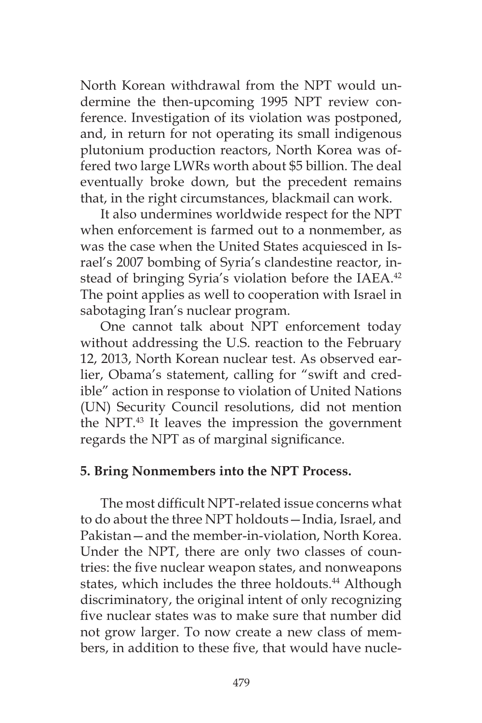North Korean withdrawal from the NPT would undermine the then-upcoming 1995 NPT review conference. Investigation of its violation was postponed, and, in return for not operating its small indigenous plutonium production reactors, North Korea was offered two large LWRs worth about \$5 billion. The deal eventually broke down, but the precedent remains that, in the right circumstances, blackmail can work.

It also undermines worldwide respect for the NPT when enforcement is farmed out to a nonmember, as was the case when the United States acquiesced in Israel's 2007 bombing of Syria's clandestine reactor, instead of bringing Syria's violation before the IAEA.<sup>42</sup> The point applies as well to cooperation with Israel in sabotaging Iran's nuclear program.

One cannot talk about NPT enforcement today without addressing the U.S. reaction to the February 12, 2013, North Korean nuclear test. As observed earlier, Obama's statement, calling for "swift and credible" action in response to violation of United Nations (UN) Security Council resolutions, did not mention the NPT.<sup>43</sup> It leaves the impression the government regards the NPT as of marginal significance.

#### **5. Bring Nonmembers into the NPT Process.**

The most difficult NPT-related issue concerns what to do about the three NPT holdouts—India, Israel, and Pakistan—and the member-in-violation, North Korea. Under the NPT, there are only two classes of countries: the five nuclear weapon states, and nonweapons states, which includes the three holdouts.<sup>44</sup> Although discriminatory, the original intent of only recognizing five nuclear states was to make sure that number did not grow larger. To now create a new class of members, in addition to these five, that would have nucle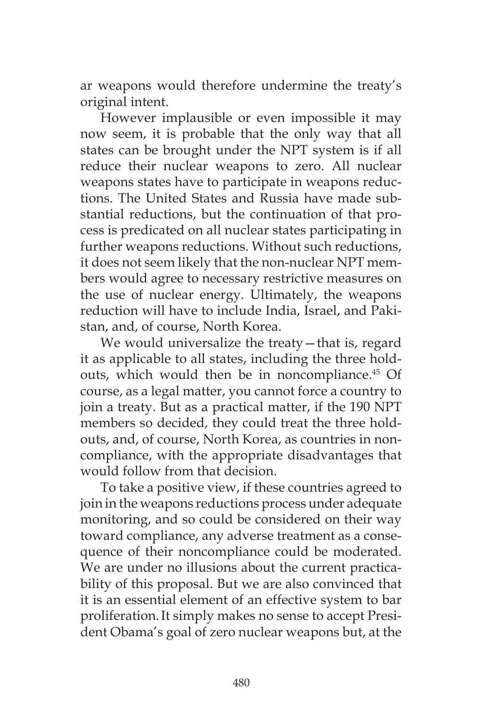ar weapons would therefore undermine the treaty's original intent.

However implausible or even impossible it may now seem, it is probable that the only way that all states can be brought under the NPT system is if all reduce their nuclear weapons to zero. All nuclear weapons states have to participate in weapons reductions. The United States and Russia have made substantial reductions, but the continuation of that process is predicated on all nuclear states participating in further weapons reductions. Without such reductions, it does not seem likely that the non-nuclear NPT members would agree to necessary restrictive measures on the use of nuclear energy. Ultimately, the weapons reduction will have to include India, Israel, and Pakistan, and, of course, North Korea.

We would universalize the treaty—that is, regard it as applicable to all states, including the three holdouts, which would then be in noncompliance.<sup>45</sup> Of course, as a legal matter, you cannot force a country to join a treaty. But as a practical matter, if the 190 NPT members so decided, they could treat the three holdouts, and, of course, North Korea, as countries in noncompliance, with the appropriate disadvantages that would follow from that decision.

To take a positive view, if these countries agreed to join in the weapons reductions process under adequate monitoring, and so could be considered on their way toward compliance, any adverse treatment as a consequence of their noncompliance could be moderated. We are under no illusions about the current practicability of this proposal. But we are also convinced that it is an essential element of an effective system to bar proliferation.It simply makes no sense to accept President Obama's goal of zero nuclear weapons but, at the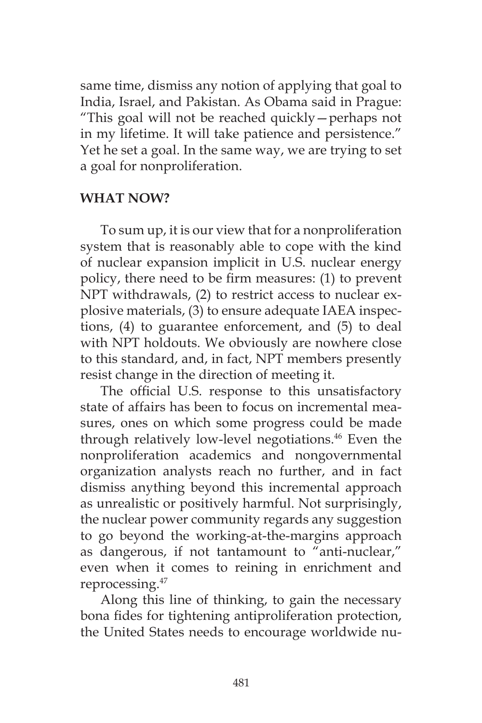same time, dismiss any notion of applying that goal to India, Israel, and Pakistan. As Obama said in Prague: "This goal will not be reached quickly—perhaps not in my lifetime. It will take patience and persistence." Yet he set a goal. In the same way, we are trying to set a goal for nonproliferation.

#### **WHAT NOW?**

To sum up, it is our view that for a nonproliferation system that is reasonably able to cope with the kind of nuclear expansion implicit in U.S. nuclear energy policy, there need to be firm measures: (1) to prevent NPT withdrawals, (2) to restrict access to nuclear explosive materials, (3) to ensure adequate IAEA inspections, (4) to guarantee enforcement, and (5) to deal with NPT holdouts. We obviously are nowhere close to this standard, and, in fact, NPT members presently resist change in the direction of meeting it.

The official U.S. response to this unsatisfactory state of affairs has been to focus on incremental measures, ones on which some progress could be made through relatively low-level negotiations.<sup>46</sup> Even the nonproliferation academics and nongovernmental organization analysts reach no further, and in fact dismiss anything beyond this incremental approach as unrealistic or positively harmful. Not surprisingly, the nuclear power community regards any suggestion to go beyond the working-at-the-margins approach as dangerous, if not tantamount to "anti-nuclear," even when it comes to reining in enrichment and reprocessing.47

Along this line of thinking, to gain the necessary bona fides for tightening antiproliferation protection, the United States needs to encourage worldwide nu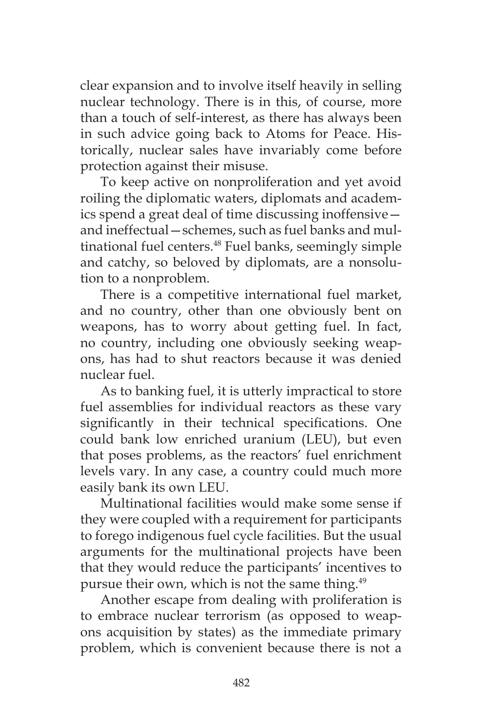clear expansion and to involve itself heavily in selling nuclear technology. There is in this, of course, more than a touch of self-interest, as there has always been in such advice going back to Atoms for Peace. Historically, nuclear sales have invariably come before protection against their misuse.

To keep active on nonproliferation and yet avoid roiling the diplomatic waters, diplomats and academics spend a great deal of time discussing inoffensive and ineffectual—schemes, such as fuel banks and multinational fuel centers.<sup>48</sup> Fuel banks, seemingly simple and catchy, so beloved by diplomats, are a nonsolution to a nonproblem.

There is a competitive international fuel market, and no country, other than one obviously bent on weapons, has to worry about getting fuel. In fact, no country, including one obviously seeking weapons, has had to shut reactors because it was denied nuclear fuel.

As to banking fuel, it is utterly impractical to store fuel assemblies for individual reactors as these vary significantly in their technical specifications. One could bank low enriched uranium (LEU), but even that poses problems, as the reactors' fuel enrichment levels vary. In any case, a country could much more easily bank its own LEU.

Multinational facilities would make some sense if they were coupled with a requirement for participants to forego indigenous fuel cycle facilities. But the usual arguments for the multinational projects have been that they would reduce the participants' incentives to pursue their own, which is not the same thing.<sup>49</sup>

Another escape from dealing with proliferation is to embrace nuclear terrorism (as opposed to weapons acquisition by states) as the immediate primary problem, which is convenient because there is not a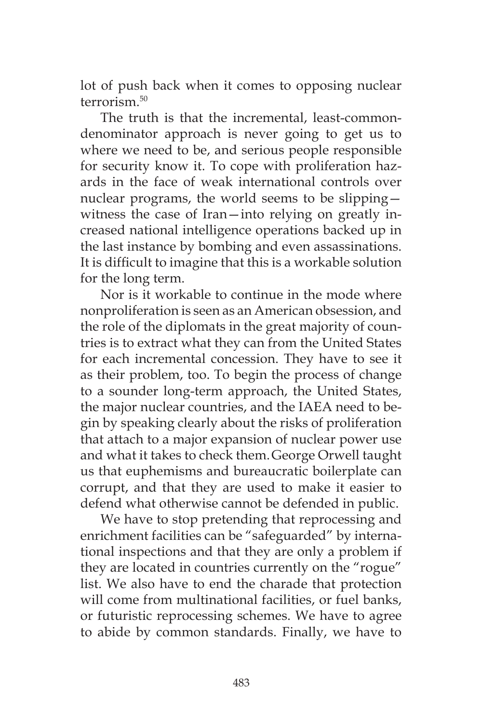lot of push back when it comes to opposing nuclear  $terrorism<sup>50</sup>$ 

The truth is that the incremental, least-commondenominator approach is never going to get us to where we need to be, and serious people responsible for security know it. To cope with proliferation hazards in the face of weak international controls over nuclear programs, the world seems to be slipping witness the case of Iran—into relying on greatly increased national intelligence operations backed up in the last instance by bombing and even assassinations. It is difficult to imagine that this is a workable solution for the long term.

Nor is it workable to continue in the mode where nonproliferation is seen as an American obsession, and the role of the diplomats in the great majority of countries is to extract what they can from the United States for each incremental concession. They have to see it as their problem, too. To begin the process of change to a sounder long-term approach, the United States, the major nuclear countries, and the IAEA need to begin by speaking clearly about the risks of proliferation that attach to a major expansion of nuclear power use and what it takes to check them.George Orwell taught us that euphemisms and bureaucratic boilerplate can corrupt, and that they are used to make it easier to defend what otherwise cannot be defended in public.

We have to stop pretending that reprocessing and enrichment facilities can be "safeguarded" by international inspections and that they are only a problem if they are located in countries currently on the "rogue" list. We also have to end the charade that protection will come from multinational facilities, or fuel banks, or futuristic reprocessing schemes. We have to agree to abide by common standards. Finally, we have to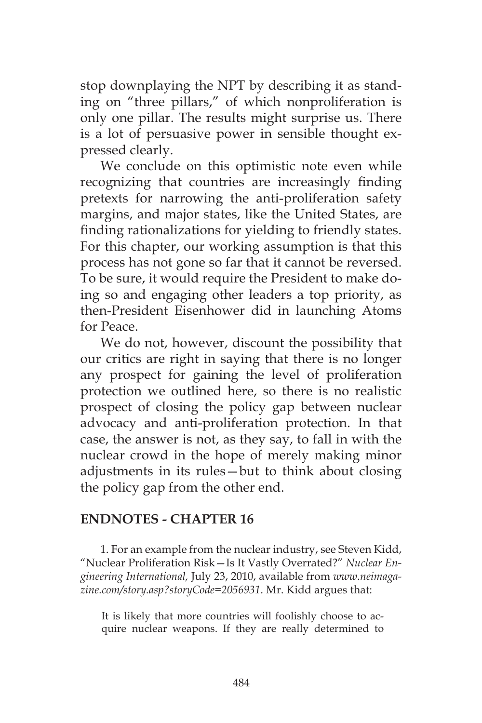stop downplaying the NPT by describing it as standing on "three pillars," of which nonproliferation is only one pillar. The results might surprise us. There is a lot of persuasive power in sensible thought expressed clearly.

We conclude on this optimistic note even while recognizing that countries are increasingly finding pretexts for narrowing the anti-proliferation safety margins, and major states, like the United States, are finding rationalizations for yielding to friendly states. For this chapter, our working assumption is that this process has not gone so far that it cannot be reversed. To be sure, it would require the President to make doing so and engaging other leaders a top priority, as then-President Eisenhower did in launching Atoms for Peace.

We do not, however, discount the possibility that our critics are right in saying that there is no longer any prospect for gaining the level of proliferation protection we outlined here, so there is no realistic prospect of closing the policy gap between nuclear advocacy and anti-proliferation protection. In that case, the answer is not, as they say, to fall in with the nuclear crowd in the hope of merely making minor adjustments in its rules—but to think about closing the policy gap from the other end.

#### **ENDNOTES - CHAPTER 16**

1. For an example from the nuclear industry, see Steven Kidd, "Nuclear Proliferation Risk—Is It Vastly Overrated?" *Nuclear Engineering International,* July 23, 2010, available from *www.neimagazine.com/story.asp?storyCode=2056931*. Mr. Kidd argues that:

It is likely that more countries will foolishly choose to acquire nuclear weapons. If they are really determined to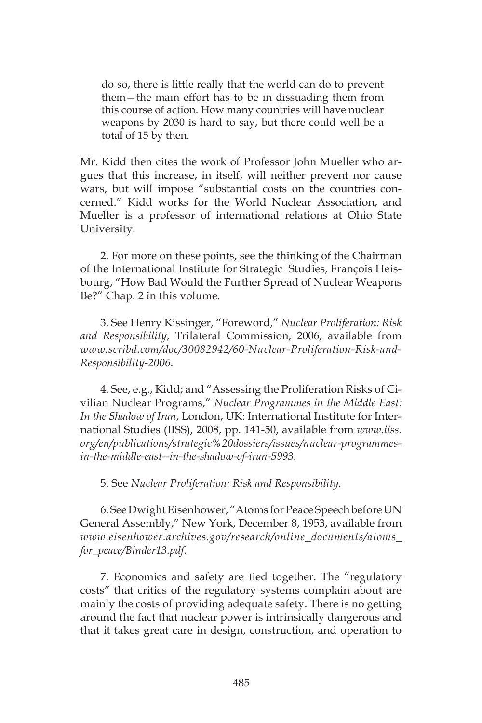do so, there is little really that the world can do to prevent them—the main effort has to be in dissuading them from this course of action. How many countries will have nuclear weapons by 2030 is hard to say, but there could well be a total of 15 by then.

Mr. Kidd then cites the work of Professor John Mueller who argues that this increase, in itself, will neither prevent nor cause wars, but will impose "substantial costs on the countries concerned." Kidd works for the World Nuclear Association, and Mueller is a professor of international relations at Ohio State University.

2. For more on these points, see the thinking of the Chairman of the International Institute for Strategic Studies, François Heisbourg, "How Bad Would the Further Spread of Nuclear Weapons Be?" Chap. 2 in this volume.

3. See Henry Kissinger, "Foreword," *Nuclear Proliferation: Risk and Responsibility*, Trilateral Commission, 2006, available from *www.scribd.com/doc/30082942/60-Nuclear-Proliferation-Risk-and-Responsibility-2006*.

4. See, e.g., Kidd; and "Assessing the Proliferation Risks of Civilian Nuclear Programs," *Nuclear Programmes in the Middle East: In the Shadow of Iran*, London, UK: International Institute for International Studies (IISS), 2008, pp. 141-50, available from *www.iiss. org/en/publications/strategic%20dossiers/issues/nuclear-programmesin-the-middle-east--in-the-shadow-of-iran-5993*.

5. See *Nuclear Proliferation: Risk and Responsibility.*

6. See Dwight Eisenhower, "Atoms for Peace Speech before UN General Assembly," New York, December 8, 1953, available from *www.eisenhower.archives.gov/research/online\_documents/atoms\_ for\_peace/Binder13.pdf*.

7. Economics and safety are tied together. The "regulatory costs" that critics of the regulatory systems complain about are mainly the costs of providing adequate safety. There is no getting around the fact that nuclear power is intrinsically dangerous and that it takes great care in design, construction, and operation to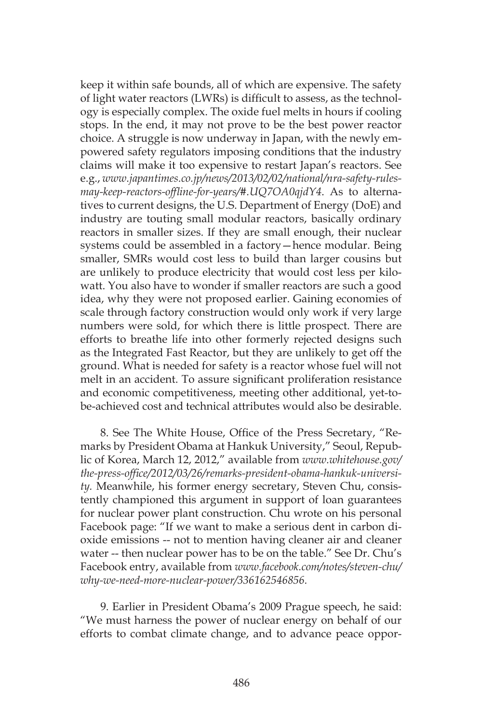keep it within safe bounds, all of which are expensive. The safety of light water reactors (LWRs) is difficult to assess, as the technology is especially complex. The oxide fuel melts in hours if cooling stops. In the end, it may not prove to be the best power reactor choice. A struggle is now underway in Japan, with the newly empowered safety regulators imposing conditions that the industry claims will make it too expensive to restart Japan's reactors. See e.g., *www.japantimes.co.jp/news/2013/02/02/national/nra-safety-rulesmay-keep-reactors-offline-for-years/#.UQ7OA0qjdY4*. As to alternatives to current designs, the U.S. Department of Energy (DoE) and industry are touting small modular reactors, basically ordinary reactors in smaller sizes. If they are small enough, their nuclear systems could be assembled in a factory—hence modular. Being smaller, SMRs would cost less to build than larger cousins but are unlikely to produce electricity that would cost less per kilowatt. You also have to wonder if smaller reactors are such a good idea, why they were not proposed earlier. Gaining economies of scale through factory construction would only work if very large numbers were sold, for which there is little prospect. There are efforts to breathe life into other formerly rejected designs such as the Integrated Fast Reactor, but they are unlikely to get off the ground. What is needed for safety is a reactor whose fuel will not melt in an accident. To assure significant proliferation resistance and economic competitiveness, meeting other additional, yet-tobe-achieved cost and technical attributes would also be desirable.

8. See The White House, Office of the Press Secretary, "Remarks by President Obama at Hankuk University," Seoul, Republic of Korea, March 12, 2012," available from *www.whitehouse.gov/ the-press-office/2012/03/26/remarks-president-obama-hankuk-university.* Meanwhile, his former energy secretary, Steven Chu, consistently championed this argument in support of loan guarantees for nuclear power plant construction. Chu wrote on his personal Facebook page: "If we want to make a serious dent in carbon dioxide emissions -- not to mention having cleaner air and cleaner water -- then nuclear power has to be on the table." See Dr. Chu's Facebook entry, available from *www.facebook.com/notes/steven-chu/ why-we-need-more-nuclear-power/336162546856.*

9. Earlier in President Obama's 2009 Prague speech, he said: "We must harness the power of nuclear energy on behalf of our efforts to combat climate change, and to advance peace oppor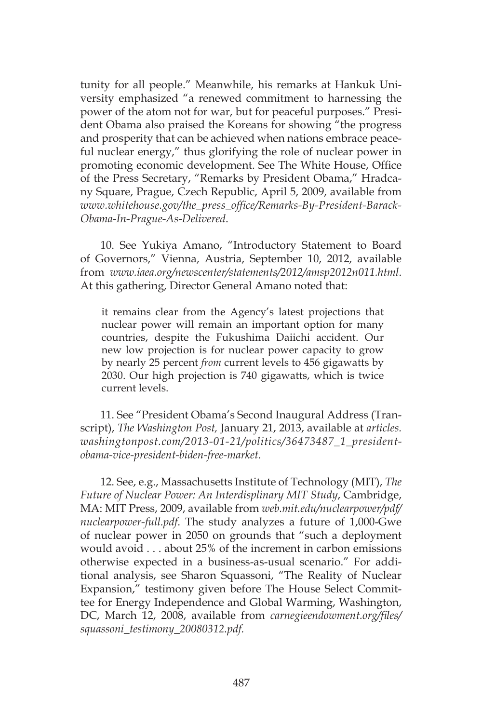tunity for all people." Meanwhile, his remarks at Hankuk University emphasized "a renewed commitment to harnessing the power of the atom not for war, but for peaceful purposes." President Obama also praised the Koreans for showing "the progress and prosperity that can be achieved when nations embrace peaceful nuclear energy," thus glorifying the role of nuclear power in promoting economic development. See The White House, Office of the Press Secretary, "Remarks by President Obama," Hradcany Square, Prague, Czech Republic, April 5, 2009, available from *www.whitehouse.gov/the\_press\_office/Remarks-By-President-Barack-Obama-In-Prague-As-Delivered*.

10. See Yukiya Amano, "Introductory Statement to Board of Governors," Vienna, Austria, September 10, 2012, available from *www.iaea.org/newscenter/statements/2012/amsp2012n011.html*. At this gathering, Director General Amano noted that:

it remains clear from the Agency's latest projections that nuclear power will remain an important option for many countries, despite the Fukushima Daiichi accident. Our new low projection is for nuclear power capacity to grow by nearly 25 percent *from* current levels to 456 gigawatts by 2030. Our high projection is 740 gigawatts, which is twice current levels.

11. See "President Obama's Second Inaugural Address (Transcript), *The Washington Post,* January 21, 2013, available at *articles. washingtonpost.com/2013-01-21/politics/36473487\_1\_presidentobama-vice-president-biden-free-market*.

12. See, e.g., Massachusetts Institute of Technology (MIT), *The Future of Nuclear Power: An Interdisplinary MIT Study*, Cambridge, MA: MIT Press, 2009, available from *web.mit.edu/nuclearpower/pdf/ nuclearpower-full.pdf*. The study analyzes a future of 1,000-Gwe of nuclear power in 2050 on grounds that "such a deployment would avoid . . . about 25% of the increment in carbon emissions otherwise expected in a business-as-usual scenario." For additional analysis, see Sharon Squassoni, "The Reality of Nuclear Expansion," testimony given before The House Select Committee for Energy Independence and Global Warming, Washington, DC, March 12, 2008, available from *carnegieendowment.org/files/ squassoni\_testimony\_20080312.pdf.*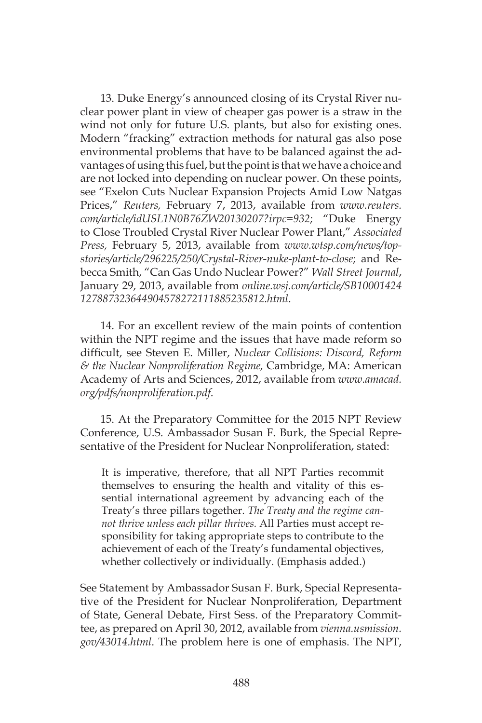13. Duke Energy's announced closing of its Crystal River nuclear power plant in view of cheaper gas power is a straw in the wind not only for future U.S. plants, but also for existing ones. Modern "fracking" extraction methods for natural gas also pose environmental problems that have to be balanced against the advantages of using this fuel, but the point is that we have a choice and are not locked into depending on nuclear power. On these points, see "Exelon Cuts Nuclear Expansion Projects Amid Low Natgas Prices," *Reuters,* February 7, 2013, available from *www.reuters. com/article/idUSL1N0B76ZW20130207?irpc=932*; "Duke Energy to Close Troubled Crystal River Nuclear Power Plant," *Associated Press,* February 5, 2013, available from *www.wtsp.com/news/topstories/article/296225/250/Crystal-River-nuke-plant-to-close*; and Rebecca Smith, "Can Gas Undo Nuclear Power?" *Wall Street Journal*, January 29, 2013, available from *online.wsj.com/article/SB10001424 127887323644904578272111885235812.html*.

14. For an excellent review of the main points of contention within the NPT regime and the issues that have made reform so difficult, see Steven E. Miller, *Nuclear Collisions: Discord, Reform & the Nuclear Nonproliferation Regime,* Cambridge, MA: American Academy of Arts and Sciences, 2012, available from *www.amacad. org/pdfs/nonproliferation.pdf*.

15. At the Preparatory Committee for the 2015 NPT Review Conference, U.S. Ambassador Susan F. Burk, the Special Representative of the President for Nuclear Nonproliferation, stated:

It is imperative, therefore, that all NPT Parties recommit themselves to ensuring the health and vitality of this essential international agreement by advancing each of the Treaty's three pillars together. *The Treaty and the regime cannot thrive unless each pillar thrives.* All Parties must accept responsibility for taking appropriate steps to contribute to the achievement of each of the Treaty's fundamental objectives, whether collectively or individually. (Emphasis added.)

See Statement by Ambassador Susan F. Burk, Special Representative of the President for Nuclear Nonproliferation, Department of State, General Debate, First Sess. of the Preparatory Committee, as prepared on April 30, 2012, available from *vienna.usmission. gov/43014.html*. The problem here is one of emphasis. The NPT,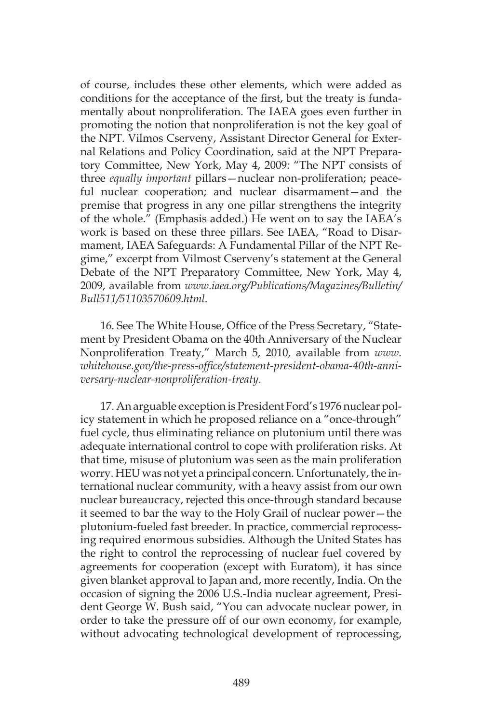of course, includes these other elements, which were added as conditions for the acceptance of the first, but the treaty is fundamentally about nonproliferation. The IAEA goes even further in promoting the notion that nonproliferation is not the key goal of the NPT. Vilmos Cserveny, Assistant Director General for External Relations and Policy Coordination, said at the NPT Preparatory Committee, New York, May 4, 2009*:* "The NPT consists of three *equally important* pillars—nuclear non-proliferation; peaceful nuclear cooperation; and nuclear disarmament—and the premise that progress in any one pillar strengthens the integrity of the whole." (Emphasis added.) He went on to say the IAEA's work is based on these three pillars. See IAEA, "Road to Disarmament, IAEA Safeguards: A Fundamental Pillar of the NPT Regime," excerpt from Vilmost Cserveny's statement at the General Debate of the NPT Preparatory Committee, New York, May 4, 2009, available from *www.iaea.org/Publications/Magazines/Bulletin/ Bull511/51103570609.html*.

16. See The White House, Office of the Press Secretary, "Statement by President Obama on the 40th Anniversary of the Nuclear Nonproliferation Treaty," March 5, 2010, available from *www. whitehouse.gov/the-press-office/statement-president-obama-40th-anniversary-nuclear-nonproliferation-treaty*.

17. An arguable exception is President Ford's 1976 nuclear policy statement in which he proposed reliance on a "once-through" fuel cycle, thus eliminating reliance on plutonium until there was adequate international control to cope with proliferation risks. At that time, misuse of plutonium was seen as the main proliferation worry. HEU was not yet a principal concern. Unfortunately, the international nuclear community, with a heavy assist from our own nuclear bureaucracy, rejected this once-through standard because it seemed to bar the way to the Holy Grail of nuclear power—the plutonium-fueled fast breeder. In practice, commercial reprocessing required enormous subsidies. Although the United States has the right to control the reprocessing of nuclear fuel covered by agreements for cooperation (except with Euratom), it has since given blanket approval to Japan and, more recently, India. On the occasion of signing the 2006 U.S.-India nuclear agreement, President George W. Bush said, "You can advocate nuclear power, in order to take the pressure off of our own economy, for example, without advocating technological development of reprocessing,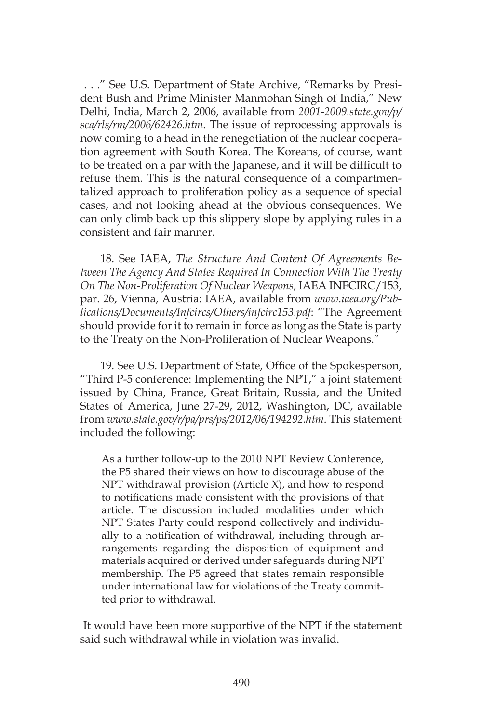. . ." See U.S. Department of State Archive, "Remarks by President Bush and Prime Minister Manmohan Singh of India," New Delhi, India, March 2, 2006, available from *2001-2009.state.gov/p/ sca/rls/rm/2006/62426.htm*. The issue of reprocessing approvals is now coming to a head in the renegotiation of the nuclear cooperation agreement with South Korea. The Koreans, of course, want to be treated on a par with the Japanese, and it will be difficult to refuse them. This is the natural consequence of a compartmentalized approach to proliferation policy as a sequence of special cases, and not looking ahead at the obvious consequences. We can only climb back up this slippery slope by applying rules in a consistent and fair manner.

18. See IAEA, *The Structure And Content Of Agreements Between The Agency And States Required In Connection With The Treaty On The Non-Proliferation Of Nuclear Weapons*, IAEA INFCIRC/153, par. 26, Vienna, Austria: IAEA, available from *www.iaea.org/Publications/Documents/Infcircs/Others/infcirc153.pdf*: "The Agreement should provide for it to remain in force as long as the State is party to the Treaty on the Non-Proliferation of Nuclear Weapons."

19. See U.S. Department of State, Office of the Spokesperson, "Third P-5 conference: Implementing the NPT," a joint statement issued by China, France, Great Britain, Russia, and the United States of America, June 27-29, 2012, Washington, DC, available from *www.state.gov/r/pa/prs/ps/2012/06/194292.htm*. This statement included the following:

As a further follow-up to the 2010 NPT Review Conference, the P5 shared their views on how to discourage abuse of the NPT withdrawal provision (Article X), and how to respond to notifications made consistent with the provisions of that article. The discussion included modalities under which NPT States Party could respond collectively and individually to a notification of withdrawal, including through arrangements regarding the disposition of equipment and materials acquired or derived under safeguards during NPT membership. The P5 agreed that states remain responsible under international law for violations of the Treaty committed prior to withdrawal.

 It would have been more supportive of the NPT if the statement said such withdrawal while in violation was invalid.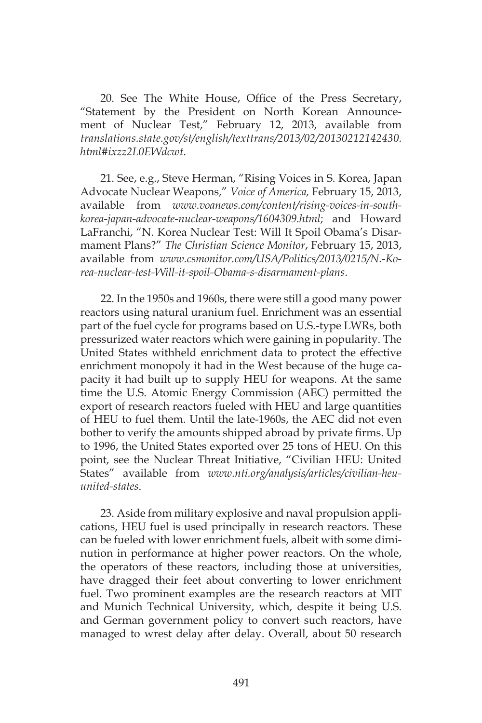20. See The White House, Office of the Press Secretary, "Statement by the President on North Korean Announcement of Nuclear Test," February 12, 2013, available from *translations.state.gov/st/english/texttrans/2013/02/20130212142430. html#ixzz2L0EWdcwt*.

21. See, e.g., Steve Herman, "Rising Voices in S. Korea, Japan Advocate Nuclear Weapons," *Voice of America,* February 15, 2013, available from *www.voanews.com/content/rising-voices-in-southkorea-japan-advocate-nuclear-weapons/1604309.html*; and Howard LaFranchi, "N. Korea Nuclear Test: Will It Spoil Obama's Disarmament Plans?" *The Christian Science Monitor*, February 15, 2013, available from *www.csmonitor.com/USA/Politics/2013/0215/N.-Korea-nuclear-test-Will-it-spoil-Obama-s-disarmament-plans*.

22. In the 1950s and 1960s, there were still a good many power reactors using natural uranium fuel. Enrichment was an essential part of the fuel cycle for programs based on U.S.-type LWRs, both pressurized water reactors which were gaining in popularity. The United States withheld enrichment data to protect the effective enrichment monopoly it had in the West because of the huge capacity it had built up to supply HEU for weapons. At the same time the U.S. Atomic Energy Commission (AEC) permitted the export of research reactors fueled with HEU and large quantities of HEU to fuel them. Until the late-1960s, the AEC did not even bother to verify the amounts shipped abroad by private firms. Up to 1996, the United States exported over 25 tons of HEU. On this point, see the Nuclear Threat Initiative, "Civilian HEU: United States" available from *www.nti.org/analysis/articles/civilian-heuunited-states*.

23. Aside from military explosive and naval propulsion applications, HEU fuel is used principally in research reactors. These can be fueled with lower enrichment fuels, albeit with some diminution in performance at higher power reactors. On the whole, the operators of these reactors, including those at universities, have dragged their feet about converting to lower enrichment fuel. Two prominent examples are the research reactors at MIT and Munich Technical University, which, despite it being U.S. and German government policy to convert such reactors, have managed to wrest delay after delay. Overall, about 50 research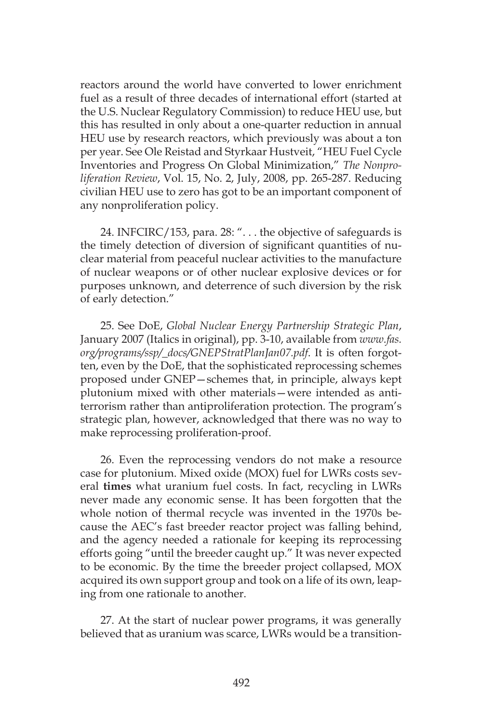reactors around the world have converted to lower enrichment fuel as a result of three decades of international effort (started at the U.S. Nuclear Regulatory Commission) to reduce HEU use, but this has resulted in only about a one-quarter reduction in annual HEU use by research reactors, which previously was about a ton per year. See Ole Reistad and Styrkaar Hustveit, "HEU Fuel Cycle Inventories and Progress On Global Minimization," *The Nonproliferation Review*, Vol. 15, No. 2, July, 2008, pp. 265-287. Reducing civilian HEU use to zero has got to be an important component of any nonproliferation policy.

24. INFCIRC/153, para. 28: ". . . the objective of safeguards is the timely detection of diversion of significant quantities of nuclear material from peaceful nuclear activities to the manufacture of nuclear weapons or of other nuclear explosive devices or for purposes unknown, and deterrence of such diversion by the risk of early detection."

25. See DoE, *Global Nuclear Energy Partnership Strategic Plan*, January 2007 (Italics in original), pp. 3-10, available from *www.fas. org/programs/ssp/\_docs/GNEPStratPlanJan07.pdf*. It is often forgotten, even by the DoE, that the sophisticated reprocessing schemes proposed under GNEP—schemes that, in principle, always kept plutonium mixed with other materials—were intended as antiterrorism rather than antiproliferation protection. The program's strategic plan, however, acknowledged that there was no way to make reprocessing proliferation-proof.

26. Even the reprocessing vendors do not make a resource case for plutonium. Mixed oxide (MOX) fuel for LWRs costs several **times** what uranium fuel costs. In fact, recycling in LWRs never made any economic sense. It has been forgotten that the whole notion of thermal recycle was invented in the 1970s because the AEC's fast breeder reactor project was falling behind, and the agency needed a rationale for keeping its reprocessing efforts going "until the breeder caught up." It was never expected to be economic. By the time the breeder project collapsed, MOX acquired its own support group and took on a life of its own, leaping from one rationale to another.

27. At the start of nuclear power programs, it was generally believed that as uranium was scarce, LWRs would be a transition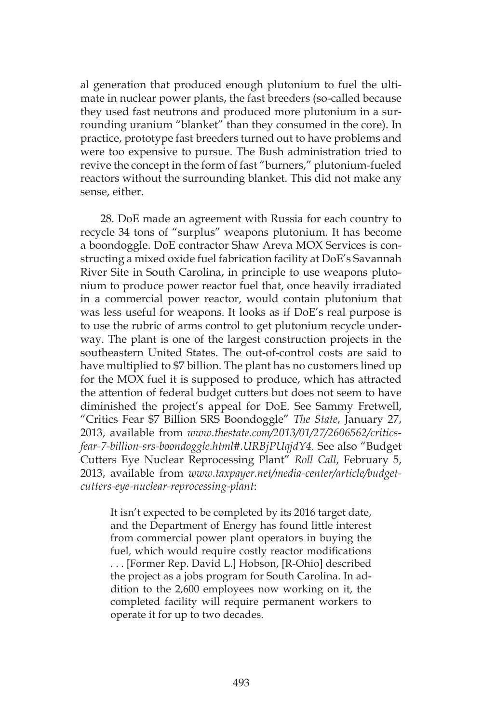al generation that produced enough plutonium to fuel the ultimate in nuclear power plants, the fast breeders (so-called because they used fast neutrons and produced more plutonium in a surrounding uranium "blanket" than they consumed in the core). In practice, prototype fast breeders turned out to have problems and were too expensive to pursue. The Bush administration tried to revive the concept in the form of fast "burners," plutonium-fueled reactors without the surrounding blanket. This did not make any sense, either.

28. DoE made an agreement with Russia for each country to recycle 34 tons of "surplus" weapons plutonium. It has become a boondoggle. DoE contractor Shaw Areva MOX Services is constructing a mixed oxide fuel fabrication facility at DoE's Savannah River Site in South Carolina, in principle to use weapons plutonium to produce power reactor fuel that, once heavily irradiated in a commercial power reactor, would contain plutonium that was less useful for weapons. It looks as if DoE's real purpose is to use the rubric of arms control to get plutonium recycle underway. The plant is one of the largest construction projects in the southeastern United States. The out-of-control costs are said to have multiplied to \$7 billion. The plant has no customers lined up for the MOX fuel it is supposed to produce, which has attracted the attention of federal budget cutters but does not seem to have diminished the project's appeal for DoE. See Sammy Fretwell, "Critics Fear \$7 Billion SRS Boondoggle" *The State*, January 27, 2013, available from *www.thestate.com/2013/01/27/2606562/criticsfear-7-billion-srs-boondoggle.html#.URBjPUqjdY4*. See also "Budget Cutters Eye Nuclear Reprocessing Plant" *Roll Call*, February 5, 2013, available from *www.taxpayer.net/media-center/article/budgetcutters-eye-nuclear-reprocessing-plant*:

It isn't expected to be completed by its 2016 target date, and the Department of Energy has found little interest from commercial power plant operators in buying the fuel, which would require costly reactor modifications . . . [Former Rep. David L.] Hobson, [R-Ohio] described the project as a jobs program for South Carolina. In addition to the 2,600 employees now working on it, the completed facility will require permanent workers to operate it for up to two decades.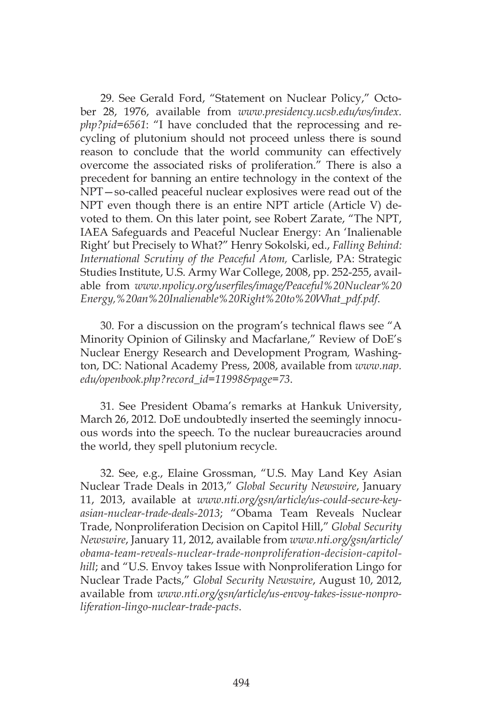29. See Gerald Ford, "Statement on Nuclear Policy," October 28, 1976, available from *www.presidency.ucsb.edu/ws/index. php?pid=6561*: "I have concluded that the reprocessing and recycling of plutonium should not proceed unless there is sound reason to conclude that the world community can effectively overcome the associated risks of proliferation." There is also a precedent for banning an entire technology in the context of the NPT—so-called peaceful nuclear explosives were read out of the NPT even though there is an entire NPT article (Article V) devoted to them. On this later point, see Robert Zarate, "The NPT, IAEA Safeguards and Peaceful Nuclear Energy: An 'Inalienable Right' but Precisely to What?" Henry Sokolski, ed., *Falling Behind: International Scrutiny of the Peaceful Atom,* Carlisle, PA: Strategic Studies Institute, U.S. Army War College, 2008, pp. 252-255, available from *www.npolicy.org/userfiles/image/Peaceful%20Nuclear%20 Energy,%20an%20Inalienable%20Right%20to%20What\_pdf.pdf*.

30. For a discussion on the program's technical flaws see "A Minority Opinion of Gilinsky and Macfarlane," Review of DoE's Nuclear Energy Research and Development Program*,* Washington, DC: National Academy Press, 2008, available from *www.nap. edu/openbook.php?record\_id=11998&page=73*.

31. See President Obama's remarks at Hankuk University, March 26, 2012. DoE undoubtedly inserted the seemingly innocuous words into the speech. To the nuclear bureaucracies around the world, they spell plutonium recycle.

32. See, e.g., Elaine Grossman, "U.S. May Land Key Asian Nuclear Trade Deals in 2013," *Global Security Newswire*, January 11, 2013, available at *www.nti.org/gsn/article/us-could-secure-keyasian-nuclear-trade-deals-2013*; "Obama Team Reveals Nuclear Trade, Nonproliferation Decision on Capitol Hill," *Global Security Newswire*, January 11, 2012, available from *www.nti.org/gsn/article/ obama-team-reveals-nuclear-trade-nonproliferation-decision-capitolhill*; and "U.S. Envoy takes Issue with Nonproliferation Lingo for Nuclear Trade Pacts," *Global Security Newswire*, August 10, 2012, available from *www.nti.org/gsn/article/us-envoy-takes-issue-nonproliferation-lingo-nuclear-trade-pacts*.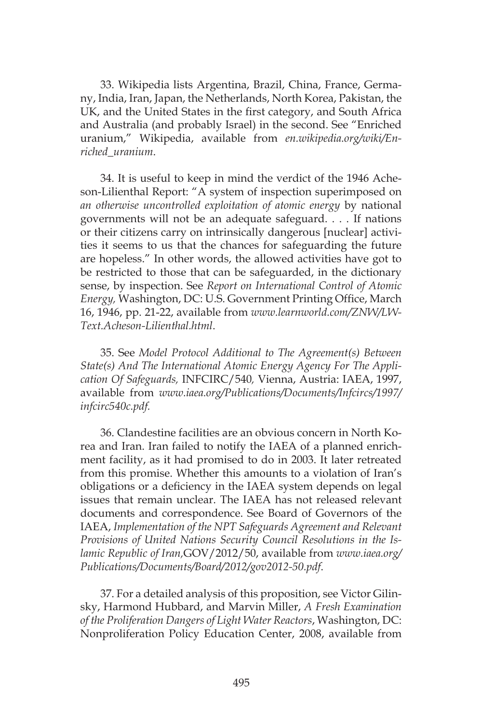33. Wikipedia lists Argentina, Brazil, China, France, Germany, India, Iran, Japan, the Netherlands, North Korea, Pakistan, the UK, and the United States in the first category, and South Africa and Australia (and probably Israel) in the second. See "Enriched uranium," Wikipedia, available from *en.wikipedia.org/wiki/Enriched\_uranium*.

34. It is useful to keep in mind the verdict of the 1946 Acheson-Lilienthal Report: "A system of inspection superimposed on *an otherwise uncontrolled exploitation of atomic energy* by national governments will not be an adequate safeguard. . . . If nations or their citizens carry on intrinsically dangerous [nuclear] activities it seems to us that the chances for safeguarding the future are hopeless." In other words, the allowed activities have got to be restricted to those that can be safeguarded, in the dictionary sense, by inspection. See *Report on International Control of Atomic Energy,* Washington, DC: U.S. Government Printing Office, March 16, 1946, pp. 21-22, available from *www.learnworld.com/ZNW/LW-Text.Acheson-Lilienthal.html*.

35. See *Model Protocol Additional to The Agreement(s) Between State(s) And The International Atomic Energy Agency For The Application Of Safeguards,* INFCIRC/540*,* Vienna, Austria: IAEA, 1997, available from *www.iaea.org/Publications/Documents/Infcircs/1997/ infcirc540c.pdf.*

36. Clandestine facilities are an obvious concern in North Korea and Iran. Iran failed to notify the IAEA of a planned enrichment facility, as it had promised to do in 2003. It later retreated from this promise. Whether this amounts to a violation of Iran's obligations or a deficiency in the IAEA system depends on legal issues that remain unclear. The IAEA has not released relevant documents and correspondence. See Board of Governors of the IAEA, *Implementation of the NPT Safeguards Agreement and Relevant Provisions of United Nations Security Council Resolutions in the Islamic Republic of Iran,*GOV/2012/50, available from *www.iaea.org/ Publications/Documents/Board/2012/gov2012-50.pdf*.

37. For a detailed analysis of this proposition, see Victor Gilinsky, Harmond Hubbard, and Marvin Miller, *A Fresh Examination of the Proliferation Dangers of Light Water Reactors*, Washington, DC: Nonproliferation Policy Education Center, 2008, available from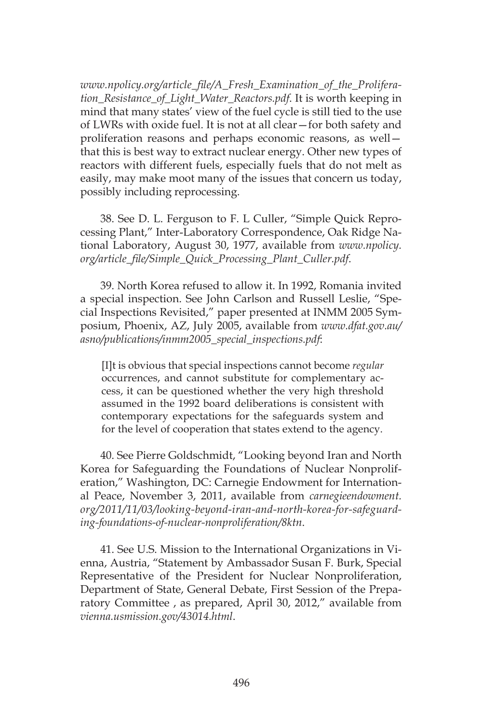*www.npolicy.org/article\_file/A\_Fresh\_Examination\_of\_the\_Proliferation\_Resistance\_of\_Light\_Water\_Reactors.pdf*. It is worth keeping in mind that many states' view of the fuel cycle is still tied to the use of LWRs with oxide fuel. It is not at all clear—for both safety and proliferation reasons and perhaps economic reasons, as well that this is best way to extract nuclear energy. Other new types of reactors with different fuels, especially fuels that do not melt as easily, may make moot many of the issues that concern us today, possibly including reprocessing.

38. See D. L. Ferguson to F. L Culler, "Simple Quick Reprocessing Plant," Inter-Laboratory Correspondence, Oak Ridge National Laboratory, August 30, 1977, available from *www.npolicy. org/article\_file/Simple\_Quick\_Processing\_Plant\_Culler.pdf*.

39. North Korea refused to allow it. In 1992, Romania invited a special inspection. See John Carlson and Russell Leslie, "Special Inspections Revisited," paper presented at INMM 2005 Symposium, Phoenix, AZ, July 2005, available from *www.dfat.gov.au/ asno/publications/inmm2005\_special\_inspections.pdf*:

[I]t is obvious that special inspections cannot become *regular* occurrences, and cannot substitute for complementary access, it can be questioned whether the very high threshold assumed in the 1992 board deliberations is consistent with contemporary expectations for the safeguards system and for the level of cooperation that states extend to the agency.

40. See Pierre Goldschmidt, "Looking beyond Iran and North Korea for Safeguarding the Foundations of Nuclear Nonproliferation," Washington, DC: Carnegie Endowment for International Peace, November 3, 2011, available from *carnegieendowment. org/2011/11/03/looking-beyond-iran-and-north-korea-for-safeguarding-foundations-of-nuclear-nonproliferation/8ktn*.

41. See U.S. Mission to the International Organizations in Vienna, Austria, "Statement by Ambassador Susan F. Burk, Special Representative of the President for Nuclear Nonproliferation, Department of State, General Debate, First Session of the Preparatory Committee , as prepared, April 30, 2012," available from *vienna.usmission.gov/43014.html*.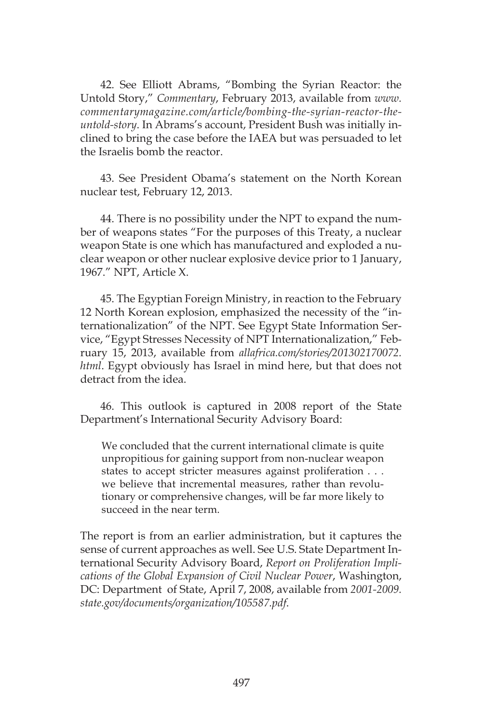42. See Elliott Abrams, "Bombing the Syrian Reactor: the Untold Story," *Commentary*, February 2013, available from *www. commentarymagazine.com/article/bombing-the-syrian-reactor-theuntold-story*. In Abrams's account, President Bush was initially inclined to bring the case before the IAEA but was persuaded to let the Israelis bomb the reactor.

43. See President Obama's statement on the North Korean nuclear test, February 12, 2013.

44. There is no possibility under the NPT to expand the number of weapons states "For the purposes of this Treaty, a nuclear weapon State is one which has manufactured and exploded a nuclear weapon or other nuclear explosive device prior to 1 January, 1967." NPT, Article X.

45. The Egyptian Foreign Ministry, in reaction to the February 12 North Korean explosion, emphasized the necessity of the "internationalization" of the NPT. See Egypt State Information Service, "Egypt Stresses Necessity of NPT Internationalization," February 15, 2013, available from *allafrica.com/stories/201302170072. html*. Egypt obviously has Israel in mind here, but that does not detract from the idea.

46. This outlook is captured in 2008 report of the State Department's International Security Advisory Board:

We concluded that the current international climate is quite unpropitious for gaining support from non-nuclear weapon states to accept stricter measures against proliferation . . . we believe that incremental measures, rather than revolutionary or comprehensive changes, will be far more likely to succeed in the near term.

The report is from an earlier administration, but it captures the sense of current approaches as well. See U.S. State Department International Security Advisory Board, *Report on Proliferation Implications of the Global Expansion of Civil Nuclear Power*, Washington, DC: Department of State, April 7, 2008, available from *2001-2009. state.gov/documents/organization/105587.pdf*.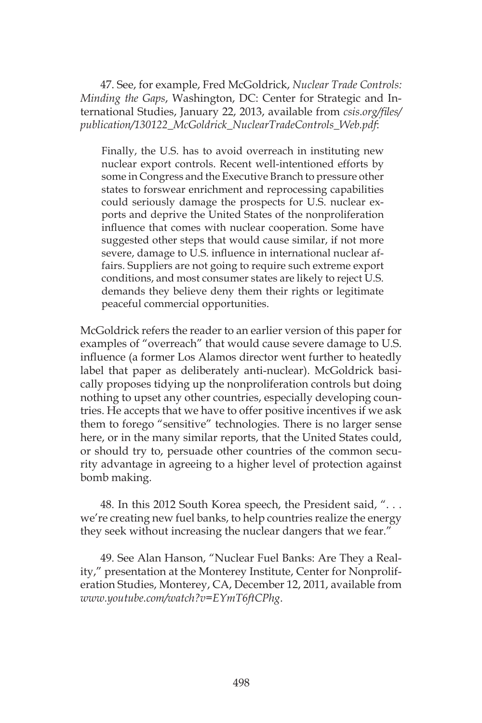47. See, for example, Fred McGoldrick, *Nuclear Trade Controls: Minding the Gaps*, Washington, DC: Center for Strategic and International Studies, January 22, 2013, available from *csis.org/files/ publication/130122\_McGoldrick\_NuclearTradeControls\_Web.pdf*:

Finally, the U.S. has to avoid overreach in instituting new nuclear export controls. Recent well-intentioned efforts by some in Congress and the Executive Branch to pressure other states to forswear enrichment and reprocessing capabilities could seriously damage the prospects for U.S. nuclear exports and deprive the United States of the nonproliferation influence that comes with nuclear cooperation. Some have suggested other steps that would cause similar, if not more severe, damage to U.S. influence in international nuclear affairs. Suppliers are not going to require such extreme export conditions, and most consumer states are likely to reject U.S. demands they believe deny them their rights or legitimate peaceful commercial opportunities.

McGoldrick refers the reader to an earlier version of this paper for examples of "overreach" that would cause severe damage to U.S. influence (a former Los Alamos director went further to heatedly label that paper as deliberately anti-nuclear). McGoldrick basically proposes tidying up the nonproliferation controls but doing nothing to upset any other countries, especially developing countries. He accepts that we have to offer positive incentives if we ask them to forego "sensitive" technologies. There is no larger sense here, or in the many similar reports, that the United States could, or should try to, persuade other countries of the common security advantage in agreeing to a higher level of protection against bomb making.

48. In this 2012 South Korea speech, the President said, ". . . we're creating new fuel banks, to help countries realize the energy they seek without increasing the nuclear dangers that we fear."

49. See Alan Hanson, "Nuclear Fuel Banks: Are They a Reality," presentation at the Monterey Institute, Center for Nonproliferation Studies, Monterey, CA, December 12, 2011, available from *www.youtube.com/watch?v=EYmT6ftCPhg*.